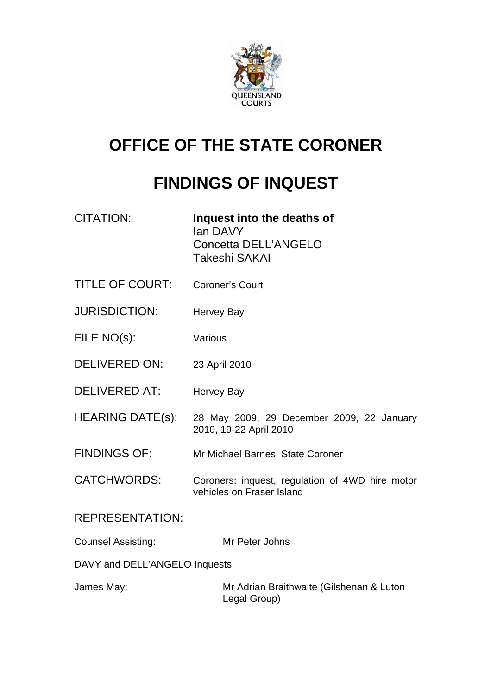

# **OFFICE OF THE STATE CORONER**

# **FINDINGS OF INQUEST**

| <b>CITATION:</b>              | Inquest into the deaths of<br>lan DAVY<br>Concetta DELL'ANGELO<br>Takeshi SAKAI |  |
|-------------------------------|---------------------------------------------------------------------------------|--|
| <b>TITLE OF COURT:</b>        | <b>Coroner's Court</b>                                                          |  |
| <b>JURISDICTION:</b>          | <b>Hervey Bay</b>                                                               |  |
| FILE NO(s):                   | Various                                                                         |  |
| <b>DELIVERED ON:</b>          | 23 April 2010                                                                   |  |
| <b>DELIVERED AT:</b>          | <b>Hervey Bay</b>                                                               |  |
| <b>HEARING DATE(s):</b>       | 28 May 2009, 29 December 2009, 22 January<br>2010, 19-22 April 2010             |  |
| <b>FINDINGS OF:</b>           | Mr Michael Barnes, State Coroner                                                |  |
| <b>CATCHWORDS:</b>            | Coroners: inquest, regulation of 4WD hire motor<br>vehicles on Fraser Island    |  |
| <b>REPRESENTATION:</b>        |                                                                                 |  |
| <b>Counsel Assisting:</b>     | Mr Peter Johns                                                                  |  |
| DAVY and DELL'ANGELO Inquests |                                                                                 |  |

James May: Mr Adrian Braithwaite (Gilshenan & Luton Legal Group)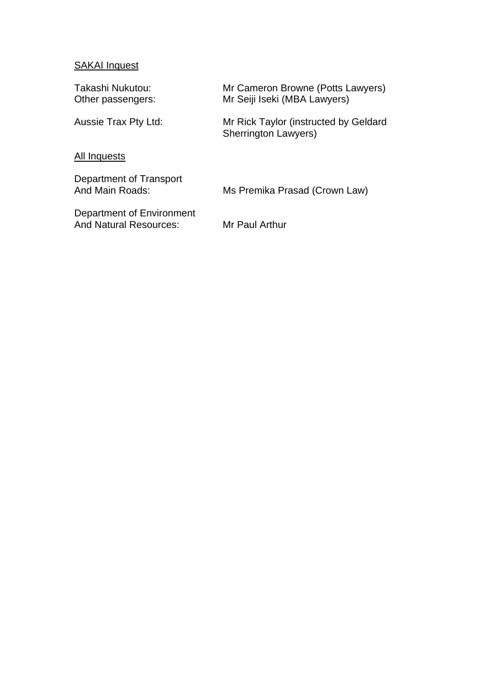# **SAKAI Inquest**

| Takashi Nukutou:<br>Other passengers:                      | Mr Cameron Browne (Potts Lawyers)<br>Mr Seiji Iseki (MBA Lawyers)    |
|------------------------------------------------------------|----------------------------------------------------------------------|
| Aussie Trax Pty Ltd:                                       | Mr Rick Taylor (instructed by Geldard<br><b>Sherrington Lawyers)</b> |
| All Inquests                                               |                                                                      |
| Department of Transport<br>And Main Roads:                 | Ms Premika Prasad (Crown Law)                                        |
| Department of Environment<br><b>And Natural Resources:</b> | Mr Paul Arthur                                                       |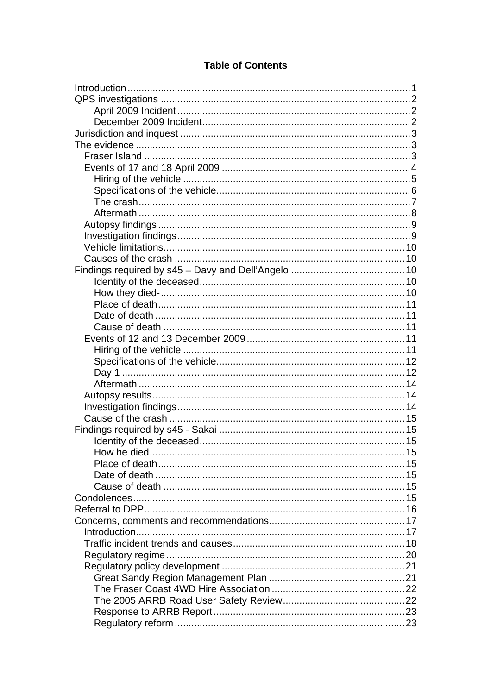# **Table of Contents**

| How he died |  |
|-------------|--|
|             |  |
|             |  |
|             |  |
|             |  |
|             |  |
|             |  |
|             |  |
|             |  |
|             |  |
|             |  |
|             |  |
|             |  |
|             |  |
|             |  |
|             |  |
|             |  |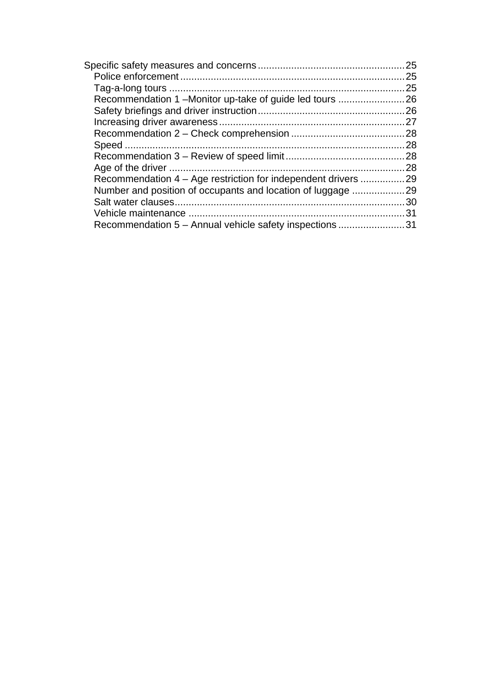|                                                            | 25  |
|------------------------------------------------------------|-----|
|                                                            | 25  |
|                                                            | 25  |
| Recommendation 1-Monitor up-take of guide led tours        | 26  |
|                                                            |     |
|                                                            | 27  |
|                                                            | .28 |
|                                                            |     |
|                                                            | 28  |
|                                                            |     |
| Recommendation 4 – Age restriction for independent drivers | .29 |
| Number and position of occupants and location of luggage   | 29  |
|                                                            | 30  |
|                                                            | 31  |
| Recommendation 5 - Annual vehicle safety inspections       | 31  |
|                                                            |     |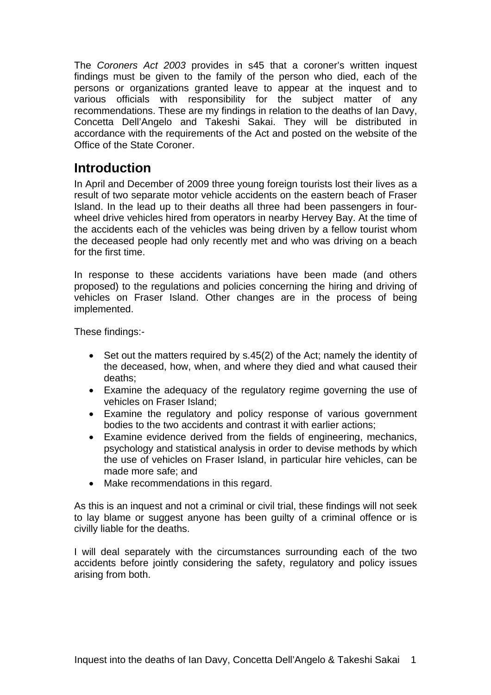<span id="page-4-0"></span>The *Coroners Act 2003* provides in s45 that a coroner's written inquest findings must be given to the family of the person who died, each of the persons or organizations granted leave to appear at the inquest and to various officials with responsibility for the subject matter of any recommendations. These are my findings in relation to the deaths of Ian Davy, Concetta Dell'Angelo and Takeshi Sakai. They will be distributed in accordance with the requirements of the Act and posted on the website of the Office of the State Coroner.

# **Introduction**

In April and December of 2009 three young foreign tourists lost their lives as a result of two separate motor vehicle accidents on the eastern beach of Fraser Island. In the lead up to their deaths all three had been passengers in fourwheel drive vehicles hired from operators in nearby Hervey Bay. At the time of the accidents each of the vehicles was being driven by a fellow tourist whom the deceased people had only recently met and who was driving on a beach for the first time.

In response to these accidents variations have been made (and others proposed) to the regulations and policies concerning the hiring and driving of vehicles on Fraser Island. Other changes are in the process of being implemented.

These findings:-

- Set out the matters required by s.45(2) of the Act; namely the identity of the deceased, how, when, and where they died and what caused their deaths;
- Examine the adequacy of the regulatory regime governing the use of vehicles on Fraser Island;
- Examine the regulatory and policy response of various government bodies to the two accidents and contrast it with earlier actions;
- Examine evidence derived from the fields of engineering, mechanics, psychology and statistical analysis in order to devise methods by which the use of vehicles on Fraser Island, in particular hire vehicles, can be made more safe; and
- Make recommendations in this regard.

As this is an inquest and not a criminal or civil trial, these findings will not seek to lay blame or suggest anyone has been guilty of a criminal offence or is civilly liable for the deaths.

I will deal separately with the circumstances surrounding each of the two accidents before jointly considering the safety, regulatory and policy issues arising from both.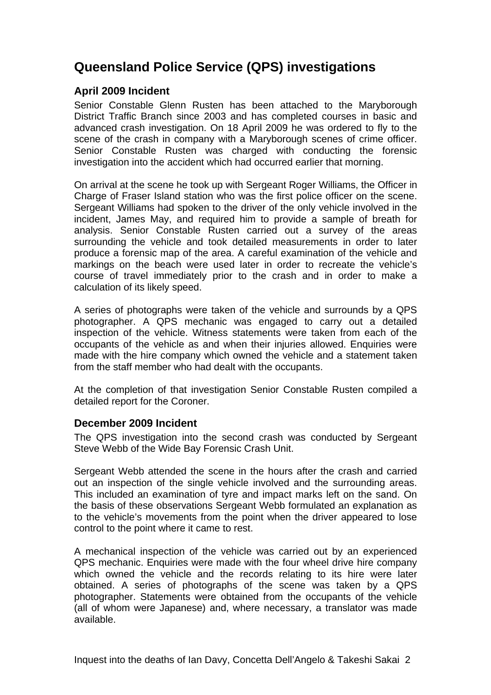# <span id="page-5-0"></span>**Queensland Police Service (QPS) investigations**

### **April 2009 Incident**

Senior Constable Glenn Rusten has been attached to the Maryborough District Traffic Branch since 2003 and has completed courses in basic and advanced crash investigation. On 18 April 2009 he was ordered to fly to the scene of the crash in company with a Maryborough scenes of crime officer. Senior Constable Rusten was charged with conducting the forensic investigation into the accident which had occurred earlier that morning.

On arrival at the scene he took up with Sergeant Roger Williams, the Officer in Charge of Fraser Island station who was the first police officer on the scene. Sergeant Williams had spoken to the driver of the only vehicle involved in the incident, James May, and required him to provide a sample of breath for analysis. Senior Constable Rusten carried out a survey of the areas surrounding the vehicle and took detailed measurements in order to later produce a forensic map of the area. A careful examination of the vehicle and markings on the beach were used later in order to recreate the vehicle's course of travel immediately prior to the crash and in order to make a calculation of its likely speed.

A series of photographs were taken of the vehicle and surrounds by a QPS photographer. A QPS mechanic was engaged to carry out a detailed inspection of the vehicle. Witness statements were taken from each of the occupants of the vehicle as and when their injuries allowed. Enquiries were made with the hire company which owned the vehicle and a statement taken from the staff member who had dealt with the occupants.

At the completion of that investigation Senior Constable Rusten compiled a detailed report for the Coroner.

### **December 2009 Incident**

The QPS investigation into the second crash was conducted by Sergeant Steve Webb of the Wide Bay Forensic Crash Unit.

Sergeant Webb attended the scene in the hours after the crash and carried out an inspection of the single vehicle involved and the surrounding areas. This included an examination of tyre and impact marks left on the sand. On the basis of these observations Sergeant Webb formulated an explanation as to the vehicle's movements from the point when the driver appeared to lose control to the point where it came to rest.

A mechanical inspection of the vehicle was carried out by an experienced QPS mechanic. Enquiries were made with the four wheel drive hire company which owned the vehicle and the records relating to its hire were later obtained. A series of photographs of the scene was taken by a QPS photographer. Statements were obtained from the occupants of the vehicle (all of whom were Japanese) and, where necessary, a translator was made available.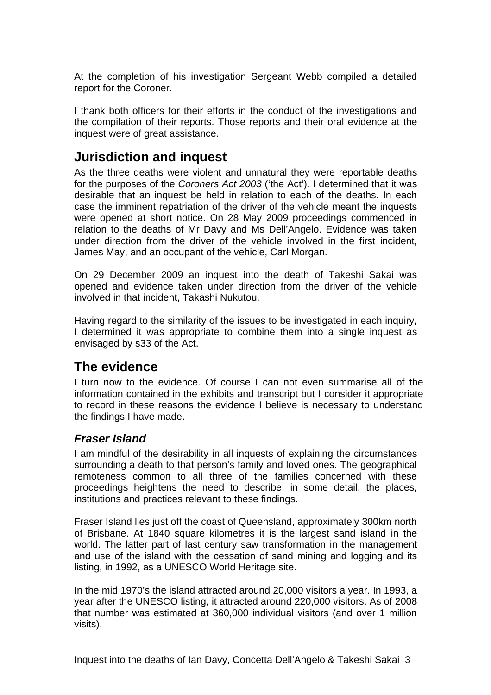<span id="page-6-0"></span>At the completion of his investigation Sergeant Webb compiled a detailed report for the Coroner.

I thank both officers for their efforts in the conduct of the investigations and the compilation of their reports. Those reports and their oral evidence at the inquest were of great assistance.

# **Jurisdiction and inquest**

As the three deaths were violent and unnatural they were reportable deaths for the purposes of the *Coroners Act 2003* ('the Act'). I determined that it was desirable that an inquest be held in relation to each of the deaths. In each case the imminent repatriation of the driver of the vehicle meant the inquests were opened at short notice. On 28 May 2009 proceedings commenced in relation to the deaths of Mr Davy and Ms Dell'Angelo. Evidence was taken under direction from the driver of the vehicle involved in the first incident, James May, and an occupant of the vehicle, Carl Morgan.

On 29 December 2009 an inquest into the death of Takeshi Sakai was opened and evidence taken under direction from the driver of the vehicle involved in that incident, Takashi Nukutou.

Having regard to the similarity of the issues to be investigated in each inquiry, I determined it was appropriate to combine them into a single inquest as envisaged by s33 of the Act.

# **The evidence**

I turn now to the evidence. Of course I can not even summarise all of the information contained in the exhibits and transcript but I consider it appropriate to record in these reasons the evidence I believe is necessary to understand the findings I have made.

### *Fraser Island*

I am mindful of the desirability in all inquests of explaining the circumstances surrounding a death to that person's family and loved ones. The geographical remoteness common to all three of the families concerned with these proceedings heightens the need to describe, in some detail, the places, institutions and practices relevant to these findings.

Fraser Island lies just off the coast of Queensland, approximately 300km north of Brisbane. At 1840 square kilometres it is the largest sand island in the world. The latter part of last century saw transformation in the management and use of the island with the cessation of sand mining and logging and its listing, in 1992, as a UNESCO World Heritage site.

In the mid 1970's the island attracted around 20,000 visitors a year. In 1993, a year after the UNESCO listing, it attracted around 220,000 visitors. As of 2008 that number was estimated at 360,000 individual visitors (and over 1 million visits).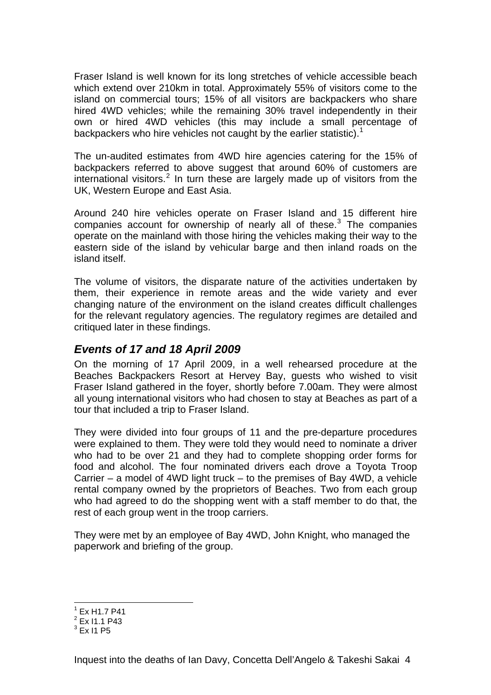<span id="page-7-0"></span>Fraser Island is well known for its long stretches of vehicle accessible beach which extend over 210km in total. Approximately 55% of visitors come to the island on commercial tours; 15% of all visitors are backpackers who share hired 4WD vehicles; while the remaining 30% travel independently in their own or hired 4WD vehicles (this may include a small percentage of backpackers who hire vehicles not caught by the earlier statistic).<sup>[1](#page-7-1)</sup>

The un-audited estimates from 4WD hire agencies catering for the 15% of backpackers referred to above suggest that around 60% of customers are international visitors.<sup>[2](#page-7-2)</sup> In turn these are largely made up of visitors from the UK, Western Europe and East Asia.

Around 240 hire vehicles operate on Fraser Island and 15 different hire companies account for ownership of nearly all of these. $3$  The companies operate on the mainland with those hiring the vehicles making their way to the eastern side of the island by vehicular barge and then inland roads on the island itself.

The volume of visitors, the disparate nature of the activities undertaken by them, their experience in remote areas and the wide variety and ever changing nature of the environment on the island creates difficult challenges for the relevant regulatory agencies. The regulatory regimes are detailed and critiqued later in these findings.

## *Events of 17 and 18 April 2009*

On the morning of 17 April 2009, in a well rehearsed procedure at the Beaches Backpackers Resort at Hervey Bay, guests who wished to visit Fraser Island gathered in the foyer, shortly before 7.00am. They were almost all young international visitors who had chosen to stay at Beaches as part of a tour that included a trip to Fraser Island.

They were divided into four groups of 11 and the pre-departure procedures were explained to them. They were told they would need to nominate a driver who had to be over 21 and they had to complete shopping order forms for food and alcohol. The four nominated drivers each drove a Toyota Troop Carrier – a model of 4WD light truck – to the premises of Bay 4WD, a vehicle rental company owned by the proprietors of Beaches. Two from each group who had agreed to do the shopping went with a staff member to do that, the rest of each group went in the troop carriers.

They were met by an employee of Bay 4WD, John Knight, who managed the paperwork and briefing of the group.

<span id="page-7-1"></span>l  $^1$  Ex H1.7 P41

<span id="page-7-2"></span> $2$  Ex I1.1 P43

<span id="page-7-3"></span> $^3$  Ex I1 P5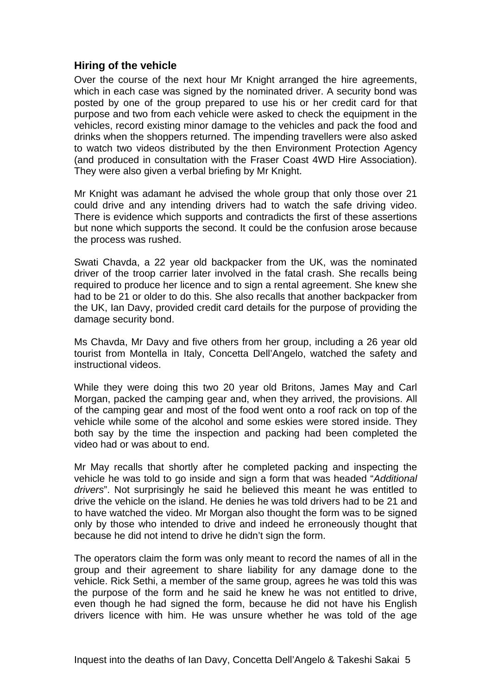### <span id="page-8-0"></span>**Hiring of the vehicle**

Over the course of the next hour Mr Knight arranged the hire agreements, which in each case was signed by the nominated driver. A security bond was posted by one of the group prepared to use his or her credit card for that purpose and two from each vehicle were asked to check the equipment in the vehicles, record existing minor damage to the vehicles and pack the food and drinks when the shoppers returned. The impending travellers were also asked to watch two videos distributed by the then Environment Protection Agency (and produced in consultation with the Fraser Coast 4WD Hire Association). They were also given a verbal briefing by Mr Knight.

Mr Knight was adamant he advised the whole group that only those over 21 could drive and any intending drivers had to watch the safe driving video. There is evidence which supports and contradicts the first of these assertions but none which supports the second. It could be the confusion arose because the process was rushed.

Swati Chavda, a 22 year old backpacker from the UK, was the nominated driver of the troop carrier later involved in the fatal crash. She recalls being required to produce her licence and to sign a rental agreement. She knew she had to be 21 or older to do this. She also recalls that another backpacker from the UK, Ian Davy, provided credit card details for the purpose of providing the damage security bond.

Ms Chavda, Mr Davy and five others from her group, including a 26 year old tourist from Montella in Italy, Concetta Dell'Angelo, watched the safety and instructional videos.

While they were doing this two 20 year old Britons, James May and Carl Morgan, packed the camping gear and, when they arrived, the provisions. All of the camping gear and most of the food went onto a roof rack on top of the vehicle while some of the alcohol and some eskies were stored inside. They both say by the time the inspection and packing had been completed the video had or was about to end.

Mr May recalls that shortly after he completed packing and inspecting the vehicle he was told to go inside and sign a form that was headed "*Additional drivers*". Not surprisingly he said he believed this meant he was entitled to drive the vehicle on the island. He denies he was told drivers had to be 21 and to have watched the video. Mr Morgan also thought the form was to be signed only by those who intended to drive and indeed he erroneously thought that because he did not intend to drive he didn't sign the form.

The operators claim the form was only meant to record the names of all in the group and their agreement to share liability for any damage done to the vehicle. Rick Sethi, a member of the same group, agrees he was told this was the purpose of the form and he said he knew he was not entitled to drive, even though he had signed the form, because he did not have his English drivers licence with him. He was unsure whether he was told of the age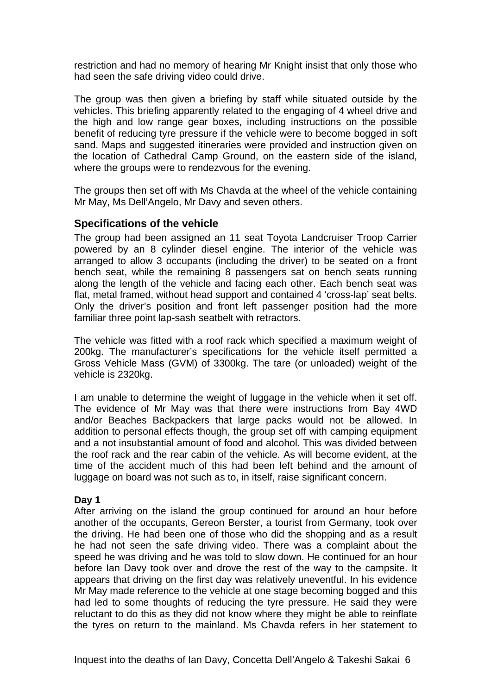<span id="page-9-0"></span>restriction and had no memory of hearing Mr Knight insist that only those who had seen the safe driving video could drive.

The group was then given a briefing by staff while situated outside by the vehicles. This briefing apparently related to the engaging of 4 wheel drive and the high and low range gear boxes, including instructions on the possible benefit of reducing tyre pressure if the vehicle were to become bogged in soft sand. Maps and suggested itineraries were provided and instruction given on the location of Cathedral Camp Ground, on the eastern side of the island, where the groups were to rendezvous for the evening.

The groups then set off with Ms Chavda at the wheel of the vehicle containing Mr May, Ms Dell'Angelo, Mr Davy and seven others.

#### **Specifications of the vehicle**

The group had been assigned an 11 seat Toyota Landcruiser Troop Carrier powered by an 8 cylinder diesel engine. The interior of the vehicle was arranged to allow 3 occupants (including the driver) to be seated on a front bench seat, while the remaining 8 passengers sat on bench seats running along the length of the vehicle and facing each other. Each bench seat was flat, metal framed, without head support and contained 4 'cross-lap' seat belts. Only the driver's position and front left passenger position had the more familiar three point lap-sash seatbelt with retractors.

The vehicle was fitted with a roof rack which specified a maximum weight of 200kg. The manufacturer's specifications for the vehicle itself permitted a Gross Vehicle Mass (GVM) of 3300kg. The tare (or unloaded) weight of the vehicle is 2320kg.

I am unable to determine the weight of luggage in the vehicle when it set off. The evidence of Mr May was that there were instructions from Bay 4WD and/or Beaches Backpackers that large packs would not be allowed. In addition to personal effects though, the group set off with camping equipment and a not insubstantial amount of food and alcohol. This was divided between the roof rack and the rear cabin of the vehicle. As will become evident, at the time of the accident much of this had been left behind and the amount of luggage on board was not such as to, in itself, raise significant concern.

#### **Day 1**

After arriving on the island the group continued for around an hour before another of the occupants, Gereon Berster, a tourist from Germany, took over the driving. He had been one of those who did the shopping and as a result he had not seen the safe driving video. There was a complaint about the speed he was driving and he was told to slow down. He continued for an hour before Ian Davy took over and drove the rest of the way to the campsite. It appears that driving on the first day was relatively uneventful. In his evidence Mr May made reference to the vehicle at one stage becoming bogged and this had led to some thoughts of reducing the tyre pressure. He said they were reluctant to do this as they did not know where they might be able to reinflate the tyres on return to the mainland. Ms Chavda refers in her statement to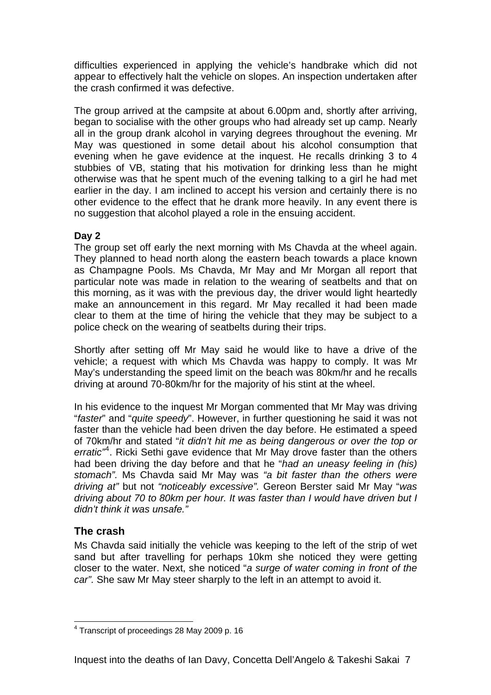<span id="page-10-0"></span>difficulties experienced in applying the vehicle's handbrake which did not appear to effectively halt the vehicle on slopes. An inspection undertaken after the crash confirmed it was defective.

The group arrived at the campsite at about 6.00pm and, shortly after arriving, began to socialise with the other groups who had already set up camp. Nearly all in the group drank alcohol in varying degrees throughout the evening. Mr May was questioned in some detail about his alcohol consumption that evening when he gave evidence at the inquest. He recalls drinking 3 to 4 stubbies of VB, stating that his motivation for drinking less than he might otherwise was that he spent much of the evening talking to a girl he had met earlier in the day. I am inclined to accept his version and certainly there is no other evidence to the effect that he drank more heavily. In any event there is no suggestion that alcohol played a role in the ensuing accident.

### **Day 2**

The group set off early the next morning with Ms Chavda at the wheel again. They planned to head north along the eastern beach towards a place known as Champagne Pools. Ms Chavda, Mr May and Mr Morgan all report that particular note was made in relation to the wearing of seatbelts and that on this morning, as it was with the previous day, the driver would light heartedly make an announcement in this regard. Mr May recalled it had been made clear to them at the time of hiring the vehicle that they may be subject to a police check on the wearing of seatbelts during their trips.

Shortly after setting off Mr May said he would like to have a drive of the vehicle; a request with which Ms Chavda was happy to comply. It was Mr May's understanding the speed limit on the beach was 80km/hr and he recalls driving at around 70-80km/hr for the majority of his stint at the wheel.

In his evidence to the inquest Mr Morgan commented that Mr May was driving "*faster*" and "*quite speedy*". However, in further questioning he said it was not faster than the vehicle had been driven the day before. He estimated a speed of 70km/hr and stated "*it didn't hit me as being dangerous or over the top or*  erratic<sup>2[4](#page-10-1)</sup>. Ricki Sethi gave evidence that Mr May drove faster than the others had been driving the day before and that he "*had an uneasy feeling in (his) stomach".* Ms Chavda said Mr May was *"a bit faster than the others were driving at"* but not *"noticeably excessive".* Gereon Berster said Mr May "*was driving about 70 to 80km per hour. It was faster than I would have driven but I didn't think it was unsafe."* 

### **The crash**

Ms Chavda said initially the vehicle was keeping to the left of the strip of wet sand but after travelling for perhaps 10km she noticed they were getting closer to the water. Next, she noticed "*a surge of water coming in front of the car".* She saw Mr May steer sharply to the left in an attempt to avoid it.

<span id="page-10-1"></span> 4 Transcript of proceedings 28 May 2009 p. 16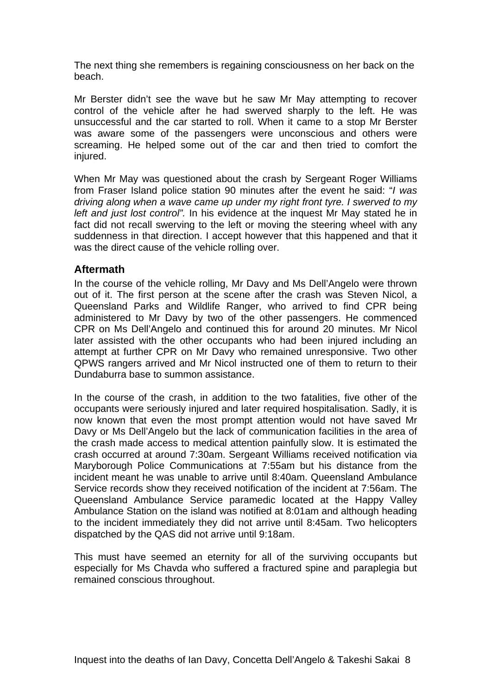<span id="page-11-0"></span>The next thing she remembers is regaining consciousness on her back on the beach.

Mr Berster didn't see the wave but he saw Mr May attempting to recover control of the vehicle after he had swerved sharply to the left. He was unsuccessful and the car started to roll. When it came to a stop Mr Berster was aware some of the passengers were unconscious and others were screaming. He helped some out of the car and then tried to comfort the injured.

When Mr May was questioned about the crash by Sergeant Roger Williams from Fraser Island police station 90 minutes after the event he said: "*I was driving along when a wave came up under my right front tyre. I swerved to my left and just lost control".* In his evidence at the inquest Mr May stated he in fact did not recall swerving to the left or moving the steering wheel with any suddenness in that direction. I accept however that this happened and that it was the direct cause of the vehicle rolling over.

### **Aftermath**

In the course of the vehicle rolling, Mr Davy and Ms Dell'Angelo were thrown out of it. The first person at the scene after the crash was Steven Nicol, a Queensland Parks and Wildlife Ranger, who arrived to find CPR being administered to Mr Davy by two of the other passengers. He commenced CPR on Ms Dell'Angelo and continued this for around 20 minutes. Mr Nicol later assisted with the other occupants who had been injured including an attempt at further CPR on Mr Davy who remained unresponsive. Two other QPWS rangers arrived and Mr Nicol instructed one of them to return to their Dundaburra base to summon assistance.

In the course of the crash, in addition to the two fatalities, five other of the occupants were seriously injured and later required hospitalisation. Sadly, it is now known that even the most prompt attention would not have saved Mr Davy or Ms Dell'Angelo but the lack of communication facilities in the area of the crash made access to medical attention painfully slow. It is estimated the crash occurred at around 7:30am. Sergeant Williams received notification via Maryborough Police Communications at 7:55am but his distance from the incident meant he was unable to arrive until 8:40am. Queensland Ambulance Service records show they received notification of the incident at 7:56am. The Queensland Ambulance Service paramedic located at the Happy Valley Ambulance Station on the island was notified at 8:01am and although heading to the incident immediately they did not arrive until 8:45am. Two helicopters dispatched by the QAS did not arrive until 9:18am.

This must have seemed an eternity for all of the surviving occupants but especially for Ms Chavda who suffered a fractured spine and paraplegia but remained conscious throughout.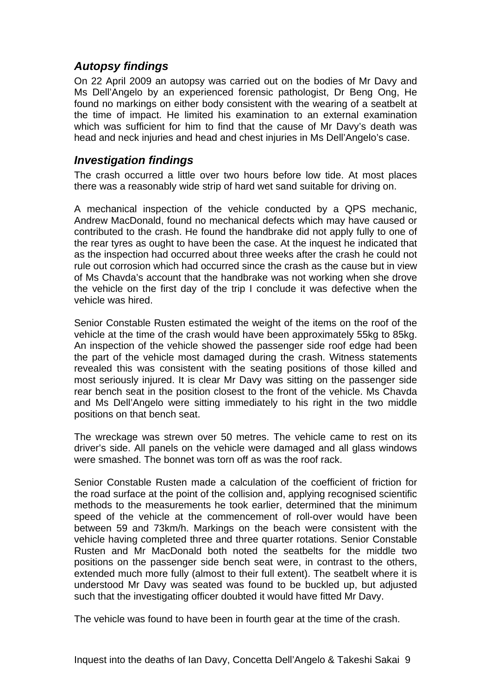# <span id="page-12-0"></span>*Autopsy findings*

On 22 April 2009 an autopsy was carried out on the bodies of Mr Davy and Ms Dell'Angelo by an experienced forensic pathologist, Dr Beng Ong, He found no markings on either body consistent with the wearing of a seatbelt at the time of impact. He limited his examination to an external examination which was sufficient for him to find that the cause of Mr Davy's death was head and neck injuries and head and chest injuries in Ms Dell'Angelo's case.

## *Investigation findings*

The crash occurred a little over two hours before low tide. At most places there was a reasonably wide strip of hard wet sand suitable for driving on.

A mechanical inspection of the vehicle conducted by a QPS mechanic, Andrew MacDonald, found no mechanical defects which may have caused or contributed to the crash. He found the handbrake did not apply fully to one of the rear tyres as ought to have been the case. At the inquest he indicated that as the inspection had occurred about three weeks after the crash he could not rule out corrosion which had occurred since the crash as the cause but in view of Ms Chavda's account that the handbrake was not working when she drove the vehicle on the first day of the trip I conclude it was defective when the vehicle was hired.

Senior Constable Rusten estimated the weight of the items on the roof of the vehicle at the time of the crash would have been approximately 55kg to 85kg. An inspection of the vehicle showed the passenger side roof edge had been the part of the vehicle most damaged during the crash. Witness statements revealed this was consistent with the seating positions of those killed and most seriously injured. It is clear Mr Davy was sitting on the passenger side rear bench seat in the position closest to the front of the vehicle. Ms Chavda and Ms Dell'Angelo were sitting immediately to his right in the two middle positions on that bench seat.

The wreckage was strewn over 50 metres. The vehicle came to rest on its driver's side. All panels on the vehicle were damaged and all glass windows were smashed. The bonnet was torn off as was the roof rack.

Senior Constable Rusten made a calculation of the coefficient of friction for the road surface at the point of the collision and, applying recognised scientific methods to the measurements he took earlier, determined that the minimum speed of the vehicle at the commencement of roll-over would have been between 59 and 73km/h. Markings on the beach were consistent with the vehicle having completed three and three quarter rotations. Senior Constable Rusten and Mr MacDonald both noted the seatbelts for the middle two positions on the passenger side bench seat were, in contrast to the others, extended much more fully (almost to their full extent). The seatbelt where it is understood Mr Davy was seated was found to be buckled up, but adjusted such that the investigating officer doubted it would have fitted Mr Davy.

The vehicle was found to have been in fourth gear at the time of the crash.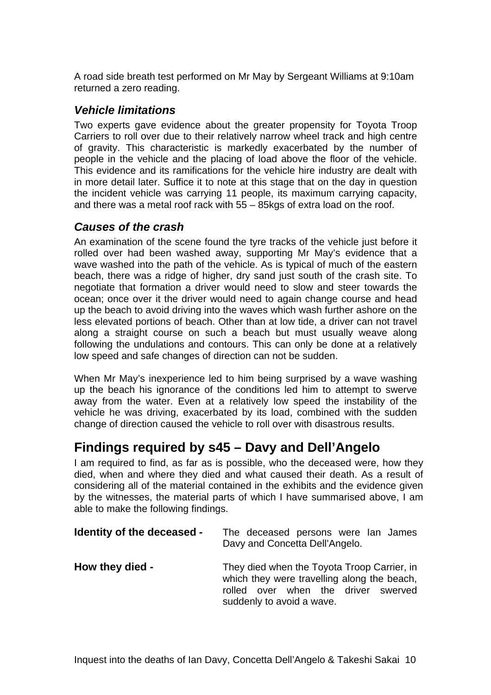<span id="page-13-0"></span>A road side breath test performed on Mr May by Sergeant Williams at 9:10am returned a zero reading.

## *Vehicle limitations*

Two experts gave evidence about the greater propensity for Toyota Troop Carriers to roll over due to their relatively narrow wheel track and high centre of gravity. This characteristic is markedly exacerbated by the number of people in the vehicle and the placing of load above the floor of the vehicle. This evidence and its ramifications for the vehicle hire industry are dealt with in more detail later. Suffice it to note at this stage that on the day in question the incident vehicle was carrying 11 people, its maximum carrying capacity, and there was a metal roof rack with 55 – 85kgs of extra load on the roof.

# *Causes of the crash*

An examination of the scene found the tyre tracks of the vehicle just before it rolled over had been washed away, supporting Mr May's evidence that a wave washed into the path of the vehicle. As is typical of much of the eastern beach, there was a ridge of higher, dry sand just south of the crash site. To negotiate that formation a driver would need to slow and steer towards the ocean; once over it the driver would need to again change course and head up the beach to avoid driving into the waves which wash further ashore on the less elevated portions of beach. Other than at low tide, a driver can not travel along a straight course on such a beach but must usually weave along following the undulations and contours. This can only be done at a relatively low speed and safe changes of direction can not be sudden.

When Mr May's inexperience led to him being surprised by a wave washing up the beach his ignorance of the conditions led him to attempt to swerve away from the water. Even at a relatively low speed the instability of the vehicle he was driving, exacerbated by its load, combined with the sudden change of direction caused the vehicle to roll over with disastrous results.

# **Findings required by s45 – Davy and Dell'Angelo**

I am required to find, as far as is possible, who the deceased were, how they died, when and where they died and what caused their death. As a result of considering all of the material contained in the exhibits and the evidence given by the witnesses, the material parts of which I have summarised above, I am able to make the following findings.

| Identity of the deceased - | The deceased persons were lan James<br>Davy and Concetta Dell'Angelo.                                                                                          |
|----------------------------|----------------------------------------------------------------------------------------------------------------------------------------------------------------|
| How they died -            | They died when the Toyota Troop Carrier, in<br>which they were travelling along the beach,<br>rolled over when the driver swerved<br>suddenly to avoid a wave. |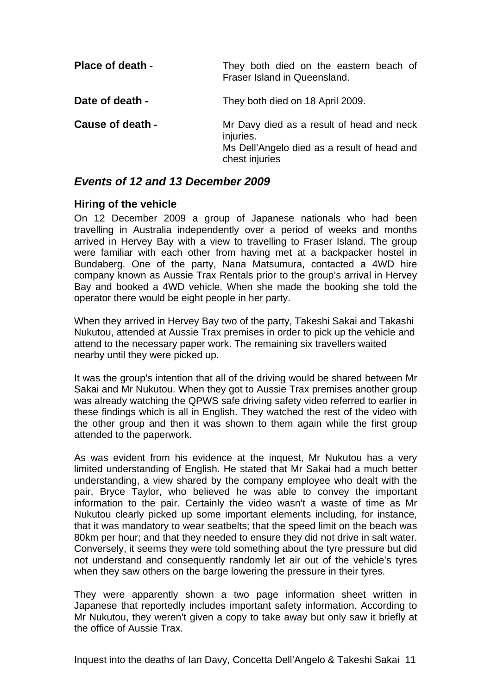<span id="page-14-0"></span>

| <b>Place of death -</b> | They both died on the eastern beach of<br>Fraser Island in Queensland.                                                  |
|-------------------------|-------------------------------------------------------------------------------------------------------------------------|
| Date of death -         | They both died on 18 April 2009.                                                                                        |
| <b>Cause of death -</b> | Mr Davy died as a result of head and neck<br>injuries.<br>Ms Dell'Angelo died as a result of head and<br>chest injuries |

### *Events of 12 and 13 December 2009*

### **Hiring of the vehicle**

On 12 December 2009 a group of Japanese nationals who had been travelling in Australia independently over a period of weeks and months arrived in Hervey Bay with a view to travelling to Fraser Island. The group were familiar with each other from having met at a backpacker hostel in Bundaberg. One of the party, Nana Matsumura, contacted a 4WD hire company known as Aussie Trax Rentals prior to the group's arrival in Hervey Bay and booked a 4WD vehicle. When she made the booking she told the operator there would be eight people in her party.

When they arrived in Hervey Bay two of the party, Takeshi Sakai and Takashi Nukutou, attended at Aussie Trax premises in order to pick up the vehicle and attend to the necessary paper work. The remaining six travellers waited nearby until they were picked up.

It was the group's intention that all of the driving would be shared between Mr Sakai and Mr Nukutou. When they got to Aussie Trax premises another group was already watching the QPWS safe driving safety video referred to earlier in these findings which is all in English. They watched the rest of the video with the other group and then it was shown to them again while the first group attended to the paperwork.

As was evident from his evidence at the inquest, Mr Nukutou has a very limited understanding of English. He stated that Mr Sakai had a much better understanding, a view shared by the company employee who dealt with the pair, Bryce Taylor, who believed he was able to convey the important information to the pair. Certainly the video wasn't a waste of time as Mr Nukutou clearly picked up some important elements including, for instance, that it was mandatory to wear seatbelts; that the speed limit on the beach was 80km per hour; and that they needed to ensure they did not drive in salt water. Conversely, it seems they were told something about the tyre pressure but did not understand and consequently randomly let air out of the vehicle's tyres when they saw others on the barge lowering the pressure in their tyres.

They were apparently shown a two page information sheet written in Japanese that reportedly includes important safety information. According to Mr Nukutou, they weren't given a copy to take away but only saw it briefly at the office of Aussie Trax.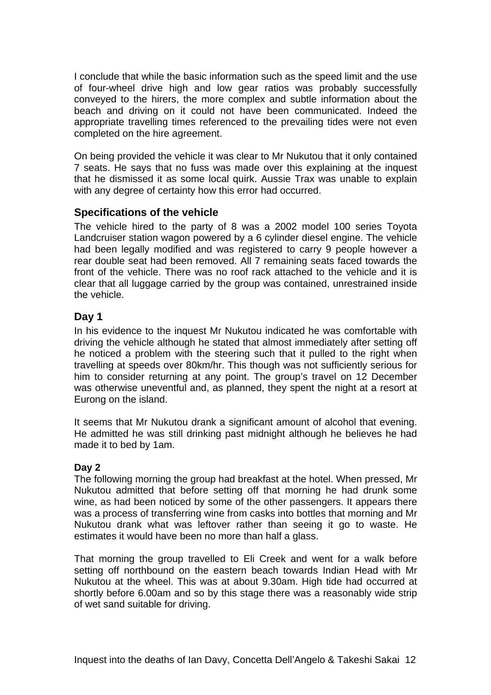<span id="page-15-0"></span>I conclude that while the basic information such as the speed limit and the use of four-wheel drive high and low gear ratios was probably successfully conveyed to the hirers, the more complex and subtle information about the beach and driving on it could not have been communicated. Indeed the appropriate travelling times referenced to the prevailing tides were not even completed on the hire agreement.

On being provided the vehicle it was clear to Mr Nukutou that it only contained 7 seats. He says that no fuss was made over this explaining at the inquest that he dismissed it as some local quirk. Aussie Trax was unable to explain with any degree of certainty how this error had occurred.

### **Specifications of the vehicle**

The vehicle hired to the party of 8 was a 2002 model 100 series Toyota Landcruiser station wagon powered by a 6 cylinder diesel engine. The vehicle had been legally modified and was registered to carry 9 people however a rear double seat had been removed. All 7 remaining seats faced towards the front of the vehicle. There was no roof rack attached to the vehicle and it is clear that all luggage carried by the group was contained, unrestrained inside the vehicle.

### **Day 1**

In his evidence to the inquest Mr Nukutou indicated he was comfortable with driving the vehicle although he stated that almost immediately after setting off he noticed a problem with the steering such that it pulled to the right when travelling at speeds over 80km/hr. This though was not sufficiently serious for him to consider returning at any point. The group's travel on 12 December was otherwise uneventful and, as planned, they spent the night at a resort at Eurong on the island.

It seems that Mr Nukutou drank a significant amount of alcohol that evening. He admitted he was still drinking past midnight although he believes he had made it to bed by 1am.

### **Day 2**

The following morning the group had breakfast at the hotel. When pressed, Mr Nukutou admitted that before setting off that morning he had drunk some wine, as had been noticed by some of the other passengers. It appears there was a process of transferring wine from casks into bottles that morning and Mr Nukutou drank what was leftover rather than seeing it go to waste. He estimates it would have been no more than half a glass.

That morning the group travelled to Eli Creek and went for a walk before setting off northbound on the eastern beach towards Indian Head with Mr Nukutou at the wheel. This was at about 9.30am. High tide had occurred at shortly before 6.00am and so by this stage there was a reasonably wide strip of wet sand suitable for driving.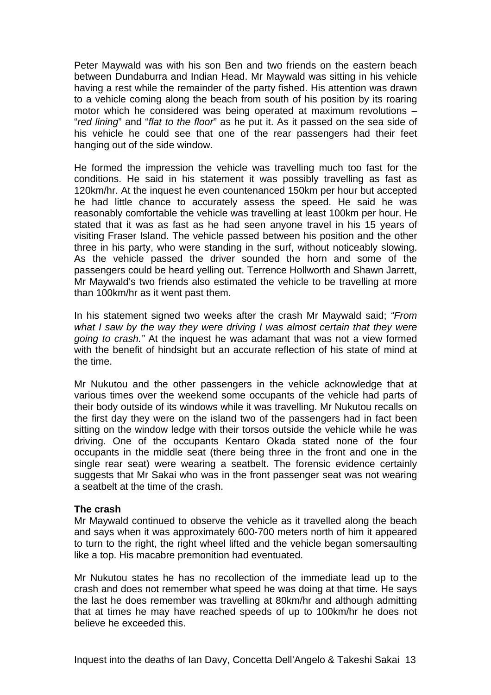Peter Maywald was with his son Ben and two friends on the eastern beach between Dundaburra and Indian Head. Mr Maywald was sitting in his vehicle having a rest while the remainder of the party fished. His attention was drawn to a vehicle coming along the beach from south of his position by its roaring motor which he considered was being operated at maximum revolutions – "*red lining*" and "*flat to the floor*" as he put it. As it passed on the sea side of his vehicle he could see that one of the rear passengers had their feet hanging out of the side window.

He formed the impression the vehicle was travelling much too fast for the conditions. He said in his statement it was possibly travelling as fast as 120km/hr. At the inquest he even countenanced 150km per hour but accepted he had little chance to accurately assess the speed. He said he was reasonably comfortable the vehicle was travelling at least 100km per hour. He stated that it was as fast as he had seen anyone travel in his 15 years of visiting Fraser Island. The vehicle passed between his position and the other three in his party, who were standing in the surf, without noticeably slowing. As the vehicle passed the driver sounded the horn and some of the passengers could be heard yelling out. Terrence Hollworth and Shawn Jarrett, Mr Maywald's two friends also estimated the vehicle to be travelling at more than 100km/hr as it went past them.

In his statement signed two weeks after the crash Mr Maywald said; *"From what I saw by the way they were driving I was almost certain that they were going to crash."* At the inquest he was adamant that was not a view formed with the benefit of hindsight but an accurate reflection of his state of mind at the time.

Mr Nukutou and the other passengers in the vehicle acknowledge that at various times over the weekend some occupants of the vehicle had parts of their body outside of its windows while it was travelling. Mr Nukutou recalls on the first day they were on the island two of the passengers had in fact been sitting on the window ledge with their torsos outside the vehicle while he was driving. One of the occupants Kentaro Okada stated none of the four occupants in the middle seat (there being three in the front and one in the single rear seat) were wearing a seatbelt. The forensic evidence certainly suggests that Mr Sakai who was in the front passenger seat was not wearing a seatbelt at the time of the crash.

#### **The crash**

Mr Maywald continued to observe the vehicle as it travelled along the beach and says when it was approximately 600-700 meters north of him it appeared to turn to the right, the right wheel lifted and the vehicle began somersaulting like a top. His macabre premonition had eventuated.

Mr Nukutou states he has no recollection of the immediate lead up to the crash and does not remember what speed he was doing at that time. He says the last he does remember was travelling at 80km/hr and although admitting that at times he may have reached speeds of up to 100km/hr he does not believe he exceeded this.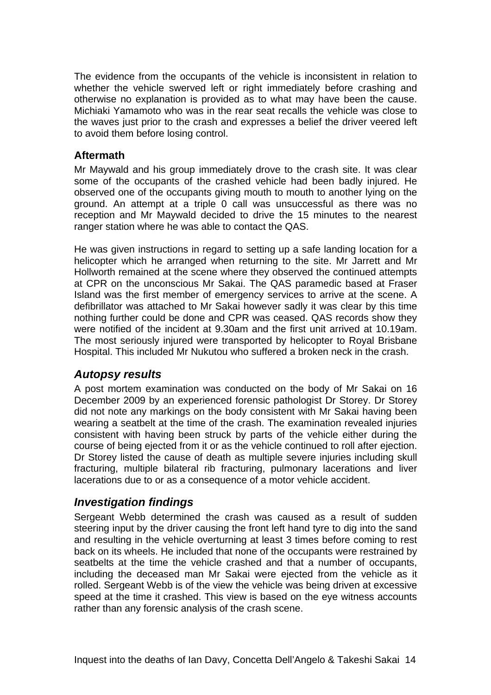<span id="page-17-0"></span>The evidence from the occupants of the vehicle is inconsistent in relation to whether the vehicle swerved left or right immediately before crashing and otherwise no explanation is provided as to what may have been the cause. Michiaki Yamamoto who was in the rear seat recalls the vehicle was close to the waves just prior to the crash and expresses a belief the driver veered left to avoid them before losing control.

### **Aftermath**

Mr Maywald and his group immediately drove to the crash site. It was clear some of the occupants of the crashed vehicle had been badly injured. He observed one of the occupants giving mouth to mouth to another lying on the ground. An attempt at a triple 0 call was unsuccessful as there was no reception and Mr Maywald decided to drive the 15 minutes to the nearest ranger station where he was able to contact the QAS.

He was given instructions in regard to setting up a safe landing location for a helicopter which he arranged when returning to the site. Mr Jarrett and Mr Hollworth remained at the scene where they observed the continued attempts at CPR on the unconscious Mr Sakai. The QAS paramedic based at Fraser Island was the first member of emergency services to arrive at the scene. A defibrillator was attached to Mr Sakai however sadly it was clear by this time nothing further could be done and CPR was ceased. QAS records show they were notified of the incident at 9.30am and the first unit arrived at 10.19am. The most seriously injured were transported by helicopter to Royal Brisbane Hospital. This included Mr Nukutou who suffered a broken neck in the crash.

### *Autopsy results*

A post mortem examination was conducted on the body of Mr Sakai on 16 December 2009 by an experienced forensic pathologist Dr Storey. Dr Storey did not note any markings on the body consistent with Mr Sakai having been wearing a seatbelt at the time of the crash. The examination revealed injuries consistent with having been struck by parts of the vehicle either during the course of being ejected from it or as the vehicle continued to roll after ejection. Dr Storey listed the cause of death as multiple severe injuries including skull fracturing, multiple bilateral rib fracturing, pulmonary lacerations and liver lacerations due to or as a consequence of a motor vehicle accident.

# *Investigation findings*

Sergeant Webb determined the crash was caused as a result of sudden steering input by the driver causing the front left hand tyre to dig into the sand and resulting in the vehicle overturning at least 3 times before coming to rest back on its wheels. He included that none of the occupants were restrained by seatbelts at the time the vehicle crashed and that a number of occupants, including the deceased man Mr Sakai were ejected from the vehicle as it rolled. Sergeant Webb is of the view the vehicle was being driven at excessive speed at the time it crashed. This view is based on the eye witness accounts rather than any forensic analysis of the crash scene.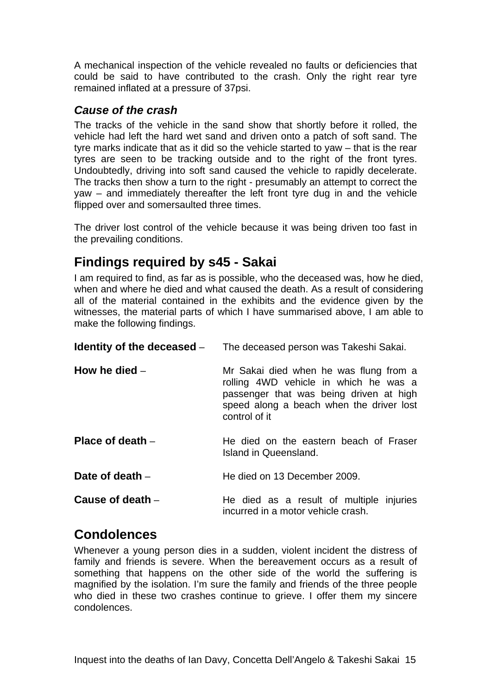<span id="page-18-0"></span>A mechanical inspection of the vehicle revealed no faults or deficiencies that could be said to have contributed to the crash. Only the right rear tyre remained inflated at a pressure of 37psi.

## *Cause of the crash*

The tracks of the vehicle in the sand show that shortly before it rolled, the vehicle had left the hard wet sand and driven onto a patch of soft sand. The tyre marks indicate that as it did so the vehicle started to yaw – that is the rear tyres are seen to be tracking outside and to the right of the front tyres. Undoubtedly, driving into soft sand caused the vehicle to rapidly decelerate. The tracks then show a turn to the right - presumably an attempt to correct the yaw – and immediately thereafter the left front tyre dug in and the vehicle flipped over and somersaulted three times.

The driver lost control of the vehicle because it was being driven too fast in the prevailing conditions.

# **Findings required by s45 - Sakai**

I am required to find, as far as is possible, who the deceased was, how he died, when and where he died and what caused the death. As a result of considering all of the material contained in the exhibits and the evidence given by the witnesses, the material parts of which I have summarised above, I am able to make the following findings.

| Identity of the deceased $-$ | The deceased person was Takeshi Sakai.                                                                                                                                                  |
|------------------------------|-----------------------------------------------------------------------------------------------------------------------------------------------------------------------------------------|
| How he died $-$              | Mr Sakai died when he was flung from a<br>rolling 4WD vehicle in which he was a<br>passenger that was being driven at high<br>speed along a beach when the driver lost<br>control of it |
| Place of death $-$           | He died on the eastern beach of Fraser<br>Island in Queensland.                                                                                                                         |
| Date of death $-$            | He died on 13 December 2009.                                                                                                                                                            |
| Cause of death $-$           | He died as a result of multiple injuries<br>incurred in a motor vehicle crash.                                                                                                          |

# **Condolences**

Whenever a young person dies in a sudden, violent incident the distress of family and friends is severe. When the bereavement occurs as a result of something that happens on the other side of the world the suffering is magnified by the isolation. I'm sure the family and friends of the three people who died in these two crashes continue to grieve. I offer them my sincere condolences.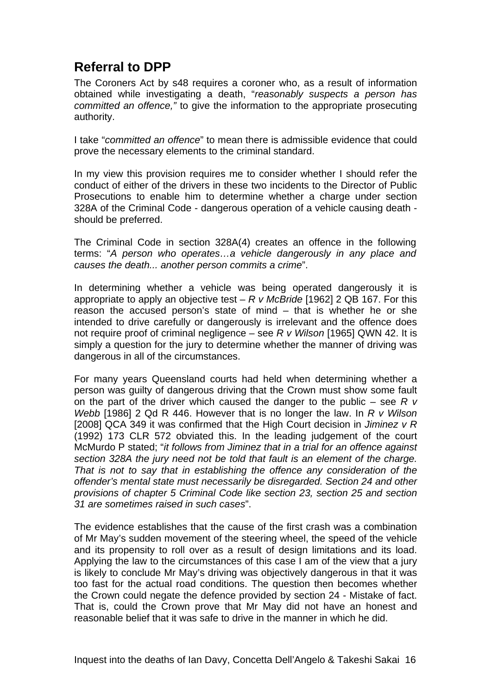# <span id="page-19-0"></span>**Referral to DPP**

The Coroners Act by s48 requires a coroner who, as a result of information obtained while investigating a death, "*reasonably suspects a person has committed an offence,"* to give the information to the appropriate prosecuting authority.

I take "*committed an offence*" to mean there is admissible evidence that could prove the necessary elements to the criminal standard.

In my view this provision requires me to consider whether I should refer the conduct of either of the drivers in these two incidents to the Director of Public Prosecutions to enable him to determine whether a charge under section 328A of the Criminal Code - dangerous operation of a vehicle causing death should be preferred.

The Criminal Code in section 328A(4) creates an offence in the following terms: "*A person who operates…a vehicle dangerously in any place and causes the death... another person commits a crime*".

In determining whether a vehicle was being operated dangerously it is appropriate to apply an objective test – *R v McBride* [1962] 2 QB 167. For this reason the accused person's state of mind – that is whether he or she intended to drive carefully or dangerously is irrelevant and the offence does not require proof of criminal negligence – see *R v Wilson* [1965] QWN 42. It is simply a question for the jury to determine whether the manner of driving was dangerous in all of the circumstances.

For many years Queensland courts had held when determining whether a person was guilty of dangerous driving that the Crown must show some fault on the part of the driver which caused the danger to the public – see *R v Webb* [1986] 2 Qd R 446. However that is no longer the law. In *R v Wilson*  [2008] QCA 349 it was confirmed that the High Court decision in *Jiminez v R*  (1992) 173 CLR 572 obviated this. In the leading judgement of the court McMurdo P stated; "*it follows from Jiminez that in a trial for an offence against section 328A the jury need not be told that fault is an element of the charge. That is not to say that in establishing the offence any consideration of the offender's mental state must necessarily be disregarded. Section 24 and other provisions of chapter 5 Criminal Code like section 23, section 25 and section 31 are sometimes raised in such cases*".

The evidence establishes that the cause of the first crash was a combination of Mr May's sudden movement of the steering wheel, the speed of the vehicle and its propensity to roll over as a result of design limitations and its load. Applying the law to the circumstances of this case I am of the view that a jury is likely to conclude Mr May's driving was objectively dangerous in that it was too fast for the actual road conditions. The question then becomes whether the Crown could negate the defence provided by section 24 - Mistake of fact. That is, could the Crown prove that Mr May did not have an honest and reasonable belief that it was safe to drive in the manner in which he did.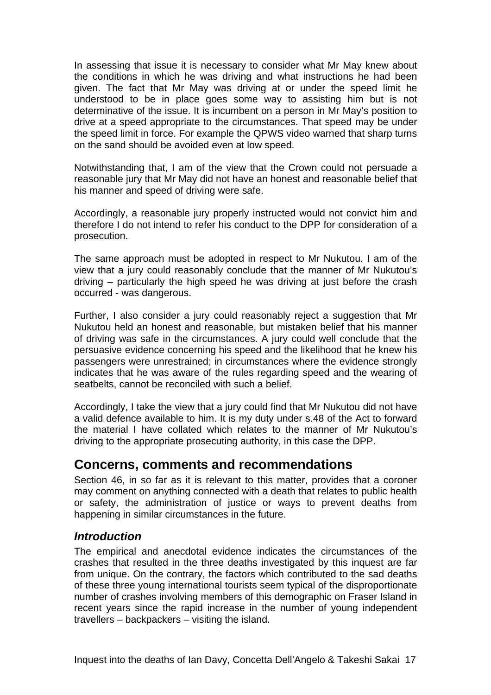<span id="page-20-0"></span>In assessing that issue it is necessary to consider what Mr May knew about the conditions in which he was driving and what instructions he had been given. The fact that Mr May was driving at or under the speed limit he understood to be in place goes some way to assisting him but is not determinative of the issue. It is incumbent on a person in Mr May's position to drive at a speed appropriate to the circumstances. That speed may be under the speed limit in force. For example the QPWS video warned that sharp turns on the sand should be avoided even at low speed.

Notwithstanding that, I am of the view that the Crown could not persuade a reasonable jury that Mr May did not have an honest and reasonable belief that his manner and speed of driving were safe.

Accordingly, a reasonable jury properly instructed would not convict him and therefore I do not intend to refer his conduct to the DPP for consideration of a prosecution.

The same approach must be adopted in respect to Mr Nukutou. I am of the view that a jury could reasonably conclude that the manner of Mr Nukutou's driving – particularly the high speed he was driving at just before the crash occurred - was dangerous.

Further, I also consider a jury could reasonably reject a suggestion that Mr Nukutou held an honest and reasonable, but mistaken belief that his manner of driving was safe in the circumstances. A jury could well conclude that the persuasive evidence concerning his speed and the likelihood that he knew his passengers were unrestrained; in circumstances where the evidence strongly indicates that he was aware of the rules regarding speed and the wearing of seatbelts, cannot be reconciled with such a belief.

Accordingly, I take the view that a jury could find that Mr Nukutou did not have a valid defence available to him. It is my duty under s.48 of the Act to forward the material I have collated which relates to the manner of Mr Nukutou's driving to the appropriate prosecuting authority, in this case the DPP.

# **Concerns, comments and recommendations**

Section 46, in so far as it is relevant to this matter, provides that a coroner may comment on anything connected with a death that relates to public health or safety, the administration of justice or ways to prevent deaths from happening in similar circumstances in the future.

### *Introduction*

The empirical and anecdotal evidence indicates the circumstances of the crashes that resulted in the three deaths investigated by this inquest are far from unique. On the contrary, the factors which contributed to the sad deaths of these three young international tourists seem typical of the disproportionate number of crashes involving members of this demographic on Fraser Island in recent years since the rapid increase in the number of young independent travellers – backpackers – visiting the island.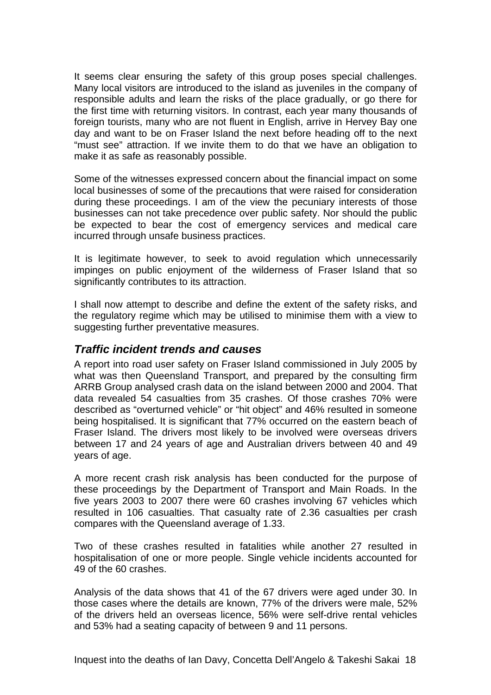<span id="page-21-0"></span>It seems clear ensuring the safety of this group poses special challenges. Many local visitors are introduced to the island as juveniles in the company of responsible adults and learn the risks of the place gradually, or go there for the first time with returning visitors. In contrast, each year many thousands of foreign tourists, many who are not fluent in English, arrive in Hervey Bay one day and want to be on Fraser Island the next before heading off to the next "must see" attraction. If we invite them to do that we have an obligation to make it as safe as reasonably possible.

Some of the witnesses expressed concern about the financial impact on some local businesses of some of the precautions that were raised for consideration during these proceedings. I am of the view the pecuniary interests of those businesses can not take precedence over public safety. Nor should the public be expected to bear the cost of emergency services and medical care incurred through unsafe business practices.

It is legitimate however, to seek to avoid regulation which unnecessarily impinges on public enjoyment of the wilderness of Fraser Island that so significantly contributes to its attraction.

I shall now attempt to describe and define the extent of the safety risks, and the regulatory regime which may be utilised to minimise them with a view to suggesting further preventative measures.

### *Traffic incident trends and causes*

A report into road user safety on Fraser Island commissioned in July 2005 by what was then Queensland Transport, and prepared by the consulting firm ARRB Group analysed crash data on the island between 2000 and 2004. That data revealed 54 casualties from 35 crashes. Of those crashes 70% were described as "overturned vehicle" or "hit object" and 46% resulted in someone being hospitalised. It is significant that 77% occurred on the eastern beach of Fraser Island. The drivers most likely to be involved were overseas drivers between 17 and 24 years of age and Australian drivers between 40 and 49 years of age.

A more recent crash risk analysis has been conducted for the purpose of these proceedings by the Department of Transport and Main Roads. In the five years 2003 to 2007 there were 60 crashes involving 67 vehicles which resulted in 106 casualties. That casualty rate of 2.36 casualties per crash compares with the Queensland average of 1.33.

Two of these crashes resulted in fatalities while another 27 resulted in hospitalisation of one or more people. Single vehicle incidents accounted for 49 of the 60 crashes.

Analysis of the data shows that 41 of the 67 drivers were aged under 30. In those cases where the details are known, 77% of the drivers were male, 52% of the drivers held an overseas licence, 56% were self-drive rental vehicles and 53% had a seating capacity of between 9 and 11 persons.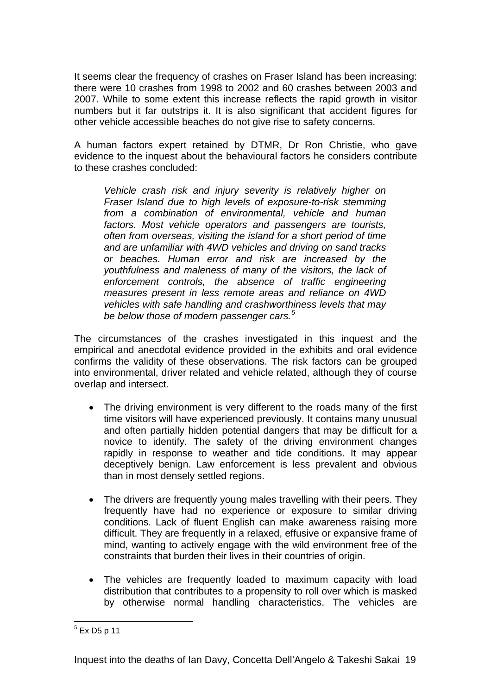It seems clear the frequency of crashes on Fraser Island has been increasing: there were 10 crashes from 1998 to 2002 and 60 crashes between 2003 and 2007. While to some extent this increase reflects the rapid growth in visitor numbers but it far outstrips it. It is also significant that accident figures for other vehicle accessible beaches do not give rise to safety concerns.

A human factors expert retained by DTMR, Dr Ron Christie, who gave evidence to the inquest about the behavioural factors he considers contribute to these crashes concluded:

*Vehicle crash risk and injury severity is relatively higher on Fraser Island due to high levels of exposure-to-risk stemming from a combination of environmental, vehicle and human factors. Most vehicle operators and passengers are tourists, often from overseas, visiting the island for a short period of time and are unfamiliar with 4WD vehicles and driving on sand tracks or beaches. Human error and risk are increased by the youthfulness and maleness of many of the visitors, the lack of enforcement controls, the absence of traffic engineering measures present in less remote areas and reliance on 4WD vehicles with safe handling and crashworthiness levels that may be below those of modern passenger cars.[5](#page-22-0)*

The circumstances of the crashes investigated in this inquest and the empirical and anecdotal evidence provided in the exhibits and oral evidence confirms the validity of these observations. The risk factors can be grouped into environmental, driver related and vehicle related, although they of course overlap and intersect.

- The driving environment is very different to the roads many of the first time visitors will have experienced previously. It contains many unusual and often partially hidden potential dangers that may be difficult for a novice to identify. The safety of the driving environment changes rapidly in response to weather and tide conditions. It may appear deceptively benign. Law enforcement is less prevalent and obvious than in most densely settled regions.
- The drivers are frequently young males travelling with their peers. They frequently have had no experience or exposure to similar driving conditions. Lack of fluent English can make awareness raising more difficult. They are frequently in a relaxed, effusive or expansive frame of mind, wanting to actively engage with the wild environment free of the constraints that burden their lives in their countries of origin.
- The vehicles are frequently loaded to maximum capacity with load distribution that contributes to a propensity to roll over which is masked by otherwise normal handling characteristics. The vehicles are

<span id="page-22-0"></span> 5 Ex D5 p 11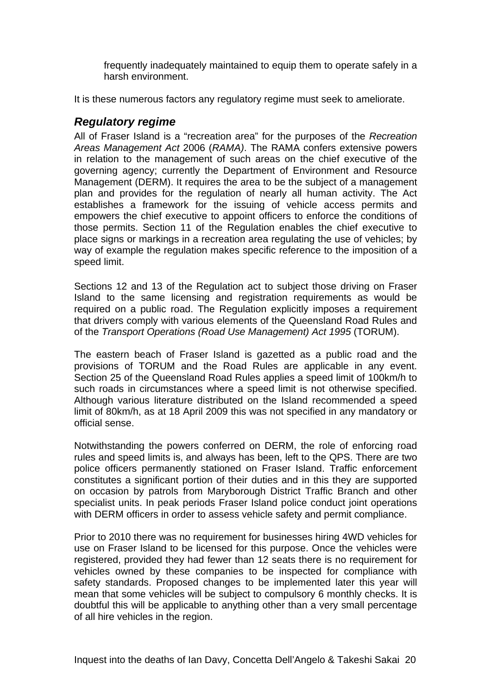<span id="page-23-0"></span>frequently inadequately maintained to equip them to operate safely in a harsh environment.

It is these numerous factors any regulatory regime must seek to ameliorate.

## *Regulatory regime*

All of Fraser Island is a "recreation area" for the purposes of the *Recreation Areas Management Act* 2006 (*RAMA)*. The RAMA confers extensive powers in relation to the management of such areas on the chief executive of the governing agency; currently the Department of Environment and Resource Management (DERM). It requires the area to be the subject of a management plan and provides for the regulation of nearly all human activity. The Act establishes a framework for the issuing of vehicle access permits and empowers the chief executive to appoint officers to enforce the conditions of those permits. Section 11 of the Regulation enables the chief executive to place signs or markings in a recreation area regulating the use of vehicles; by way of example the regulation makes specific reference to the imposition of a speed limit.

Sections 12 and 13 of the Regulation act to subject those driving on Fraser Island to the same licensing and registration requirements as would be required on a public road. The Regulation explicitly imposes a requirement that drivers comply with various elements of the Queensland Road Rules and of the *Transport Operations (Road Use Management) Act 1995* (TORUM).

The eastern beach of Fraser Island is gazetted as a public road and the provisions of TORUM and the Road Rules are applicable in any event. Section 25 of the Queensland Road Rules applies a speed limit of 100km/h to such roads in circumstances where a speed limit is not otherwise specified. Although various literature distributed on the Island recommended a speed limit of 80km/h, as at 18 April 2009 this was not specified in any mandatory or official sense.

Notwithstanding the powers conferred on DERM, the role of enforcing road rules and speed limits is, and always has been, left to the QPS. There are two police officers permanently stationed on Fraser Island. Traffic enforcement constitutes a significant portion of their duties and in this they are supported on occasion by patrols from Maryborough District Traffic Branch and other specialist units. In peak periods Fraser Island police conduct joint operations with DERM officers in order to assess vehicle safety and permit compliance.

Prior to 2010 there was no requirement for businesses hiring 4WD vehicles for use on Fraser Island to be licensed for this purpose. Once the vehicles were registered, provided they had fewer than 12 seats there is no requirement for vehicles owned by these companies to be inspected for compliance with safety standards. Proposed changes to be implemented later this year will mean that some vehicles will be subject to compulsory 6 monthly checks. It is doubtful this will be applicable to anything other than a very small percentage of all hire vehicles in the region.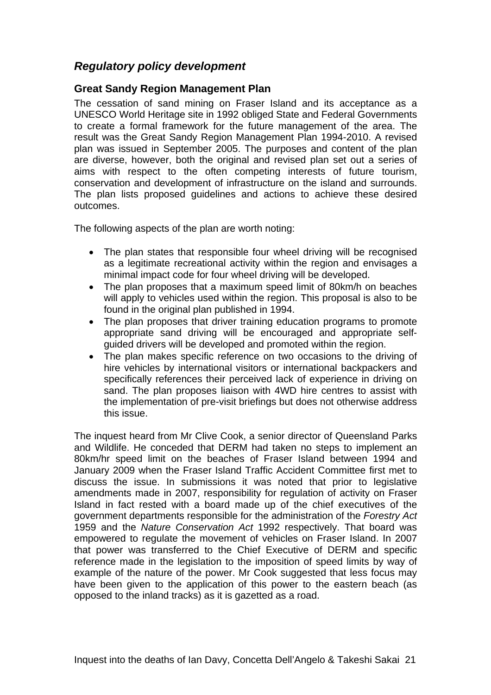# <span id="page-24-0"></span>*Regulatory policy development*

### **Great Sandy Region Management Plan**

The cessation of sand mining on Fraser Island and its acceptance as a UNESCO World Heritage site in 1992 obliged State and Federal Governments to create a formal framework for the future management of the area. The result was the Great Sandy Region Management Plan 1994-2010. A revised plan was issued in September 2005. The purposes and content of the plan are diverse, however, both the original and revised plan set out a series of aims with respect to the often competing interests of future tourism, conservation and development of infrastructure on the island and surrounds. The plan lists proposed guidelines and actions to achieve these desired outcomes.

The following aspects of the plan are worth noting:

- The plan states that responsible four wheel driving will be recognised as a legitimate recreational activity within the region and envisages a minimal impact code for four wheel driving will be developed.
- The plan proposes that a maximum speed limit of 80km/h on beaches will apply to vehicles used within the region. This proposal is also to be found in the original plan published in 1994.
- The plan proposes that driver training education programs to promote appropriate sand driving will be encouraged and appropriate selfguided drivers will be developed and promoted within the region.
- The plan makes specific reference on two occasions to the driving of hire vehicles by international visitors or international backpackers and specifically references their perceived lack of experience in driving on sand. The plan proposes liaison with 4WD hire centres to assist with the implementation of pre-visit briefings but does not otherwise address this issue.

The inquest heard from Mr Clive Cook, a senior director of Queensland Parks and Wildlife. He conceded that DERM had taken no steps to implement an 80km/hr speed limit on the beaches of Fraser Island between 1994 and January 2009 when the Fraser Island Traffic Accident Committee first met to discuss the issue. In submissions it was noted that prior to legislative amendments made in 2007, responsibility for regulation of activity on Fraser Island in fact rested with a board made up of the chief executives of the government departments responsible for the administration of the *Forestry Act*  1959 and the *Nature Conservation Act* 1992 respectively. That board was empowered to regulate the movement of vehicles on Fraser Island. In 2007 that power was transferred to the Chief Executive of DERM and specific reference made in the legislation to the imposition of speed limits by way of example of the nature of the power. Mr Cook suggested that less focus may have been given to the application of this power to the eastern beach (as opposed to the inland tracks) as it is gazetted as a road.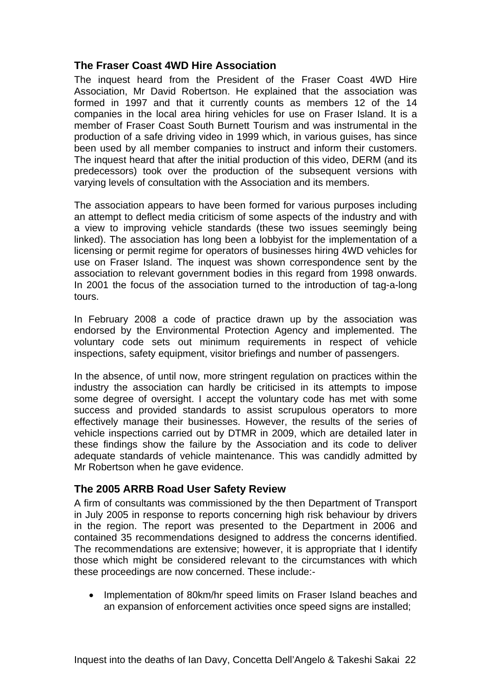### <span id="page-25-0"></span>**The Fraser Coast 4WD Hire Association**

The inquest heard from the President of the Fraser Coast 4WD Hire Association, Mr David Robertson. He explained that the association was formed in 1997 and that it currently counts as members 12 of the 14 companies in the local area hiring vehicles for use on Fraser Island. It is a member of Fraser Coast South Burnett Tourism and was instrumental in the production of a safe driving video in 1999 which, in various guises, has since been used by all member companies to instruct and inform their customers. The inquest heard that after the initial production of this video, DERM (and its predecessors) took over the production of the subsequent versions with varying levels of consultation with the Association and its members.

The association appears to have been formed for various purposes including an attempt to deflect media criticism of some aspects of the industry and with a view to improving vehicle standards (these two issues seemingly being linked). The association has long been a lobbyist for the implementation of a licensing or permit regime for operators of businesses hiring 4WD vehicles for use on Fraser Island. The inquest was shown correspondence sent by the association to relevant government bodies in this regard from 1998 onwards. In 2001 the focus of the association turned to the introduction of tag-a-long tours.

In February 2008 a code of practice drawn up by the association was endorsed by the Environmental Protection Agency and implemented. The voluntary code sets out minimum requirements in respect of vehicle inspections, safety equipment, visitor briefings and number of passengers.

In the absence, of until now, more stringent regulation on practices within the industry the association can hardly be criticised in its attempts to impose some degree of oversight. I accept the voluntary code has met with some success and provided standards to assist scrupulous operators to more effectively manage their businesses. However, the results of the series of vehicle inspections carried out by DTMR in 2009, which are detailed later in these findings show the failure by the Association and its code to deliver adequate standards of vehicle maintenance. This was candidly admitted by Mr Robertson when he gave evidence.

### **The 2005 ARRB Road User Safety Review**

A firm of consultants was commissioned by the then Department of Transport in July 2005 in response to reports concerning high risk behaviour by drivers in the region. The report was presented to the Department in 2006 and contained 35 recommendations designed to address the concerns identified. The recommendations are extensive; however, it is appropriate that I identify those which might be considered relevant to the circumstances with which these proceedings are now concerned. These include:-

• Implementation of 80km/hr speed limits on Fraser Island beaches and an expansion of enforcement activities once speed signs are installed;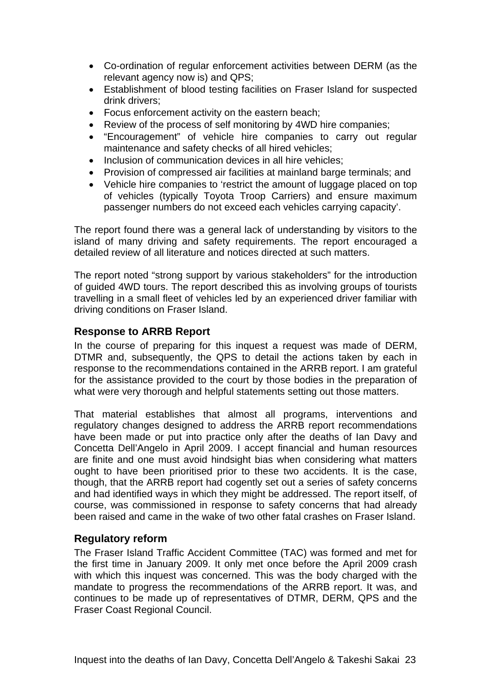- <span id="page-26-0"></span>• Co-ordination of regular enforcement activities between DERM (as the relevant agency now is) and QPS;
- Establishment of blood testing facilities on Fraser Island for suspected drink drivers;
- Focus enforcement activity on the eastern beach;
- Review of the process of self monitoring by 4WD hire companies;
- "Encouragement" of vehicle hire companies to carry out regular maintenance and safety checks of all hired vehicles;
- Inclusion of communication devices in all hire vehicles;
- Provision of compressed air facilities at mainland barge terminals; and
- Vehicle hire companies to 'restrict the amount of luggage placed on top of vehicles (typically Toyota Troop Carriers) and ensure maximum passenger numbers do not exceed each vehicles carrying capacity'.

The report found there was a general lack of understanding by visitors to the island of many driving and safety requirements. The report encouraged a detailed review of all literature and notices directed at such matters.

The report noted "strong support by various stakeholders" for the introduction of guided 4WD tours. The report described this as involving groups of tourists travelling in a small fleet of vehicles led by an experienced driver familiar with driving conditions on Fraser Island.

### **Response to ARRB Report**

In the course of preparing for this inquest a request was made of DERM, DTMR and, subsequently, the QPS to detail the actions taken by each in response to the recommendations contained in the ARRB report. I am grateful for the assistance provided to the court by those bodies in the preparation of what were very thorough and helpful statements setting out those matters.

That material establishes that almost all programs, interventions and regulatory changes designed to address the ARRB report recommendations have been made or put into practice only after the deaths of Ian Davy and Concetta Dell'Angelo in April 2009. I accept financial and human resources are finite and one must avoid hindsight bias when considering what matters ought to have been prioritised prior to these two accidents. It is the case, though, that the ARRB report had cogently set out a series of safety concerns and had identified ways in which they might be addressed. The report itself, of course, was commissioned in response to safety concerns that had already been raised and came in the wake of two other fatal crashes on Fraser Island.

### **Regulatory reform**

The Fraser Island Traffic Accident Committee (TAC) was formed and met for the first time in January 2009. It only met once before the April 2009 crash with which this inquest was concerned. This was the body charged with the mandate to progress the recommendations of the ARRB report. It was, and continues to be made up of representatives of DTMR, DERM, QPS and the Fraser Coast Regional Council.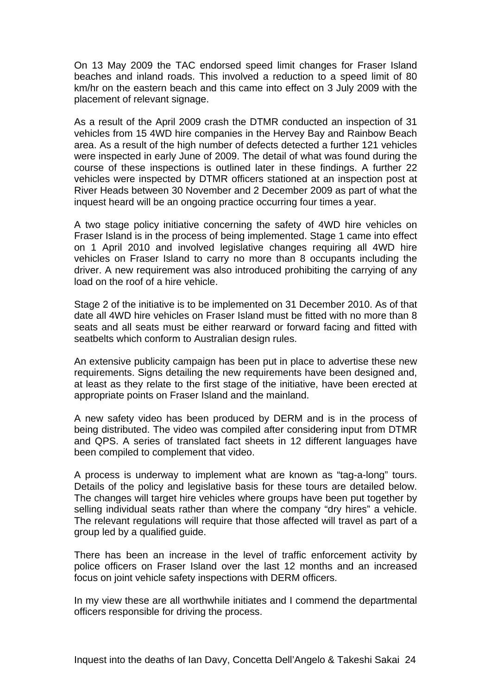On 13 May 2009 the TAC endorsed speed limit changes for Fraser Island beaches and inland roads. This involved a reduction to a speed limit of 80 km/hr on the eastern beach and this came into effect on 3 July 2009 with the placement of relevant signage.

As a result of the April 2009 crash the DTMR conducted an inspection of 31 vehicles from 15 4WD hire companies in the Hervey Bay and Rainbow Beach area. As a result of the high number of defects detected a further 121 vehicles were inspected in early June of 2009. The detail of what was found during the course of these inspections is outlined later in these findings. A further 22 vehicles were inspected by DTMR officers stationed at an inspection post at River Heads between 30 November and 2 December 2009 as part of what the inquest heard will be an ongoing practice occurring four times a year.

A two stage policy initiative concerning the safety of 4WD hire vehicles on Fraser Island is in the process of being implemented. Stage 1 came into effect on 1 April 2010 and involved legislative changes requiring all 4WD hire vehicles on Fraser Island to carry no more than 8 occupants including the driver. A new requirement was also introduced prohibiting the carrying of any load on the roof of a hire vehicle.

Stage 2 of the initiative is to be implemented on 31 December 2010. As of that date all 4WD hire vehicles on Fraser Island must be fitted with no more than 8 seats and all seats must be either rearward or forward facing and fitted with seatbelts which conform to Australian design rules.

An extensive publicity campaign has been put in place to advertise these new requirements. Signs detailing the new requirements have been designed and, at least as they relate to the first stage of the initiative, have been erected at appropriate points on Fraser Island and the mainland.

A new safety video has been produced by DERM and is in the process of being distributed. The video was compiled after considering input from DTMR and QPS. A series of translated fact sheets in 12 different languages have been compiled to complement that video.

A process is underway to implement what are known as "tag-a-long" tours. Details of the policy and legislative basis for these tours are detailed below. The changes will target hire vehicles where groups have been put together by selling individual seats rather than where the company "dry hires" a vehicle. The relevant regulations will require that those affected will travel as part of a group led by a qualified guide.

There has been an increase in the level of traffic enforcement activity by police officers on Fraser Island over the last 12 months and an increased focus on joint vehicle safety inspections with DERM officers.

In my view these are all worthwhile initiates and I commend the departmental officers responsible for driving the process.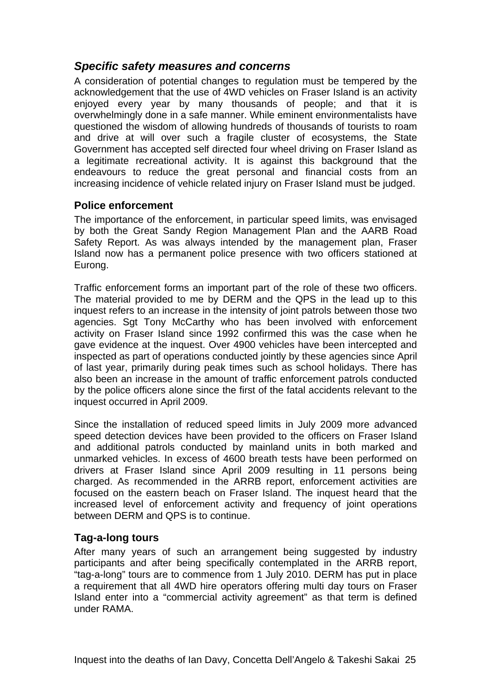## <span id="page-28-0"></span>*Specific safety measures and concerns*

A consideration of potential changes to regulation must be tempered by the acknowledgement that the use of 4WD vehicles on Fraser Island is an activity enjoyed every year by many thousands of people; and that it is overwhelmingly done in a safe manner. While eminent environmentalists have questioned the wisdom of allowing hundreds of thousands of tourists to roam and drive at will over such a fragile cluster of ecosystems, the State Government has accepted self directed four wheel driving on Fraser Island as a legitimate recreational activity. It is against this background that the endeavours to reduce the great personal and financial costs from an increasing incidence of vehicle related injury on Fraser Island must be judged.

### **Police enforcement**

The importance of the enforcement, in particular speed limits, was envisaged by both the Great Sandy Region Management Plan and the AARB Road Safety Report. As was always intended by the management plan, Fraser Island now has a permanent police presence with two officers stationed at Eurong.

Traffic enforcement forms an important part of the role of these two officers. The material provided to me by DERM and the QPS in the lead up to this inquest refers to an increase in the intensity of joint patrols between those two agencies. Sgt Tony McCarthy who has been involved with enforcement activity on Fraser Island since 1992 confirmed this was the case when he gave evidence at the inquest. Over 4900 vehicles have been intercepted and inspected as part of operations conducted jointly by these agencies since April of last year, primarily during peak times such as school holidays. There has also been an increase in the amount of traffic enforcement patrols conducted by the police officers alone since the first of the fatal accidents relevant to the inquest occurred in April 2009.

Since the installation of reduced speed limits in July 2009 more advanced speed detection devices have been provided to the officers on Fraser Island and additional patrols conducted by mainland units in both marked and unmarked vehicles. In excess of 4600 breath tests have been performed on drivers at Fraser Island since April 2009 resulting in 11 persons being charged. As recommended in the ARRB report, enforcement activities are focused on the eastern beach on Fraser Island. The inquest heard that the increased level of enforcement activity and frequency of joint operations between DERM and QPS is to continue.

### **Tag-a-long tours**

After many years of such an arrangement being suggested by industry participants and after being specifically contemplated in the ARRB report, "tag-a-long" tours are to commence from 1 July 2010. DERM has put in place a requirement that all 4WD hire operators offering multi day tours on Fraser Island enter into a "commercial activity agreement" as that term is defined under RAMA.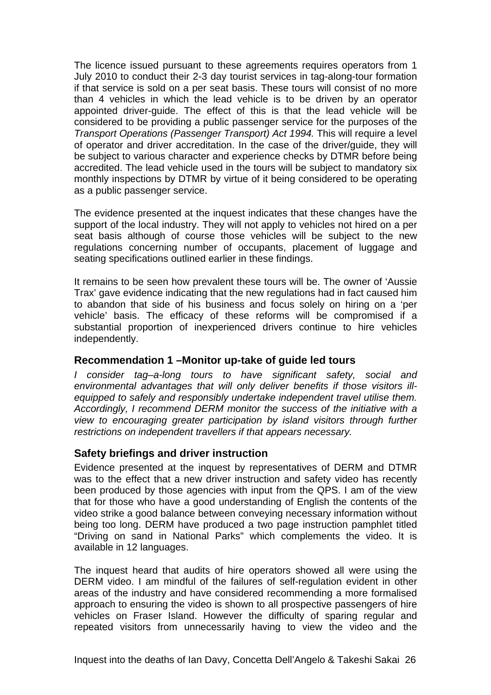<span id="page-29-0"></span>The licence issued pursuant to these agreements requires operators from 1 July 2010 to conduct their 2-3 day tourist services in tag-along-tour formation if that service is sold on a per seat basis. These tours will consist of no more than 4 vehicles in which the lead vehicle is to be driven by an operator appointed driver-guide. The effect of this is that the lead vehicle will be considered to be providing a public passenger service for the purposes of the *Transport Operations (Passenger Transport) Act 1994.* This will require a level of operator and driver accreditation. In the case of the driver/guide, they will be subject to various character and experience checks by DTMR before being accredited. The lead vehicle used in the tours will be subject to mandatory six monthly inspections by DTMR by virtue of it being considered to be operating as a public passenger service.

The evidence presented at the inquest indicates that these changes have the support of the local industry. They will not apply to vehicles not hired on a per seat basis although of course those vehicles will be subject to the new regulations concerning number of occupants, placement of luggage and seating specifications outlined earlier in these findings.

It remains to be seen how prevalent these tours will be. The owner of 'Aussie Trax' gave evidence indicating that the new regulations had in fact caused him to abandon that side of his business and focus solely on hiring on a 'per vehicle' basis. The efficacy of these reforms will be compromised if a substantial proportion of inexperienced drivers continue to hire vehicles independently.

#### **Recommendation 1 –Monitor up-take of guide led tours**

*I consider tag–a-long tours to have significant safety, social and environmental advantages that will only deliver benefits if those visitors illequipped to safely and responsibly undertake independent travel utilise them. Accordingly, I recommend DERM monitor the success of the initiative with a view to encouraging greater participation by island visitors through further restrictions on independent travellers if that appears necessary.* 

### **Safety briefings and driver instruction**

Evidence presented at the inquest by representatives of DERM and DTMR was to the effect that a new driver instruction and safety video has recently been produced by those agencies with input from the QPS. I am of the view that for those who have a good understanding of English the contents of the video strike a good balance between conveying necessary information without being too long. DERM have produced a two page instruction pamphlet titled "Driving on sand in National Parks" which complements the video. It is available in 12 languages.

The inquest heard that audits of hire operators showed all were using the DERM video. I am mindful of the failures of self-regulation evident in other areas of the industry and have considered recommending a more formalised approach to ensuring the video is shown to all prospective passengers of hire vehicles on Fraser Island. However the difficulty of sparing regular and repeated visitors from unnecessarily having to view the video and the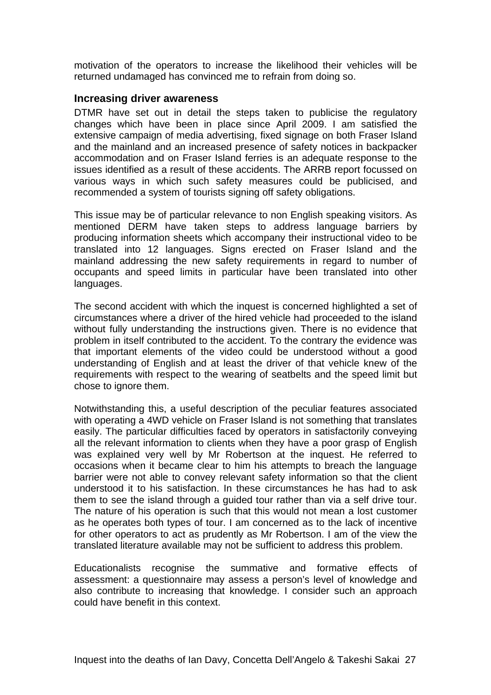<span id="page-30-0"></span>motivation of the operators to increase the likelihood their vehicles will be returned undamaged has convinced me to refrain from doing so.

#### **Increasing driver awareness**

DTMR have set out in detail the steps taken to publicise the regulatory changes which have been in place since April 2009. I am satisfied the extensive campaign of media advertising, fixed signage on both Fraser Island and the mainland and an increased presence of safety notices in backpacker accommodation and on Fraser Island ferries is an adequate response to the issues identified as a result of these accidents. The ARRB report focussed on various ways in which such safety measures could be publicised, and recommended a system of tourists signing off safety obligations.

This issue may be of particular relevance to non English speaking visitors. As mentioned DERM have taken steps to address language barriers by producing information sheets which accompany their instructional video to be translated into 12 languages. Signs erected on Fraser Island and the mainland addressing the new safety requirements in regard to number of occupants and speed limits in particular have been translated into other languages.

The second accident with which the inquest is concerned highlighted a set of circumstances where a driver of the hired vehicle had proceeded to the island without fully understanding the instructions given. There is no evidence that problem in itself contributed to the accident. To the contrary the evidence was that important elements of the video could be understood without a good understanding of English and at least the driver of that vehicle knew of the requirements with respect to the wearing of seatbelts and the speed limit but chose to ignore them.

Notwithstanding this, a useful description of the peculiar features associated with operating a 4WD vehicle on Fraser Island is not something that translates easily. The particular difficulties faced by operators in satisfactorily conveying all the relevant information to clients when they have a poor grasp of English was explained very well by Mr Robertson at the inquest. He referred to occasions when it became clear to him his attempts to breach the language barrier were not able to convey relevant safety information so that the client understood it to his satisfaction. In these circumstances he has had to ask them to see the island through a guided tour rather than via a self drive tour. The nature of his operation is such that this would not mean a lost customer as he operates both types of tour. I am concerned as to the lack of incentive for other operators to act as prudently as Mr Robertson. I am of the view the translated literature available may not be sufficient to address this problem.

Educationalists recognise the summative and formative effects of assessment: a questionnaire may assess a person's level of knowledge and also contribute to increasing that knowledge. I consider such an approach could have benefit in this context.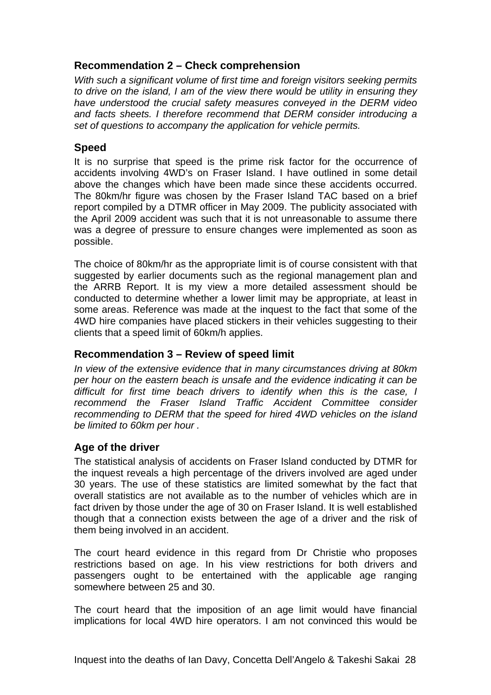### <span id="page-31-0"></span>**Recommendation 2 – Check comprehension**

*With such a significant volume of first time and foreign visitors seeking permits to drive on the island, I am of the view there would be utility in ensuring they have understood the crucial safety measures conveyed in the DERM video and facts sheets. I therefore recommend that DERM consider introducing a set of questions to accompany the application for vehicle permits.* 

### **Speed**

It is no surprise that speed is the prime risk factor for the occurrence of accidents involving 4WD's on Fraser Island. I have outlined in some detail above the changes which have been made since these accidents occurred. The 80km/hr figure was chosen by the Fraser Island TAC based on a brief report compiled by a DTMR officer in May 2009. The publicity associated with the April 2009 accident was such that it is not unreasonable to assume there was a degree of pressure to ensure changes were implemented as soon as possible.

The choice of 80km/hr as the appropriate limit is of course consistent with that suggested by earlier documents such as the regional management plan and the ARRB Report. It is my view a more detailed assessment should be conducted to determine whether a lower limit may be appropriate, at least in some areas. Reference was made at the inquest to the fact that some of the 4WD hire companies have placed stickers in their vehicles suggesting to their clients that a speed limit of 60km/h applies.

### **Recommendation 3 – Review of speed limit**

*In view of the extensive evidence that in many circumstances driving at 80km per hour on the eastern beach is unsafe and the evidence indicating it can be difficult for first time beach drivers to identify when this is the case, I recommend the Fraser Island Traffic Accident Committee consider recommending to DERM that the speed for hired 4WD vehicles on the island be limited to 60km per hour .* 

### **Age of the driver**

The statistical analysis of accidents on Fraser Island conducted by DTMR for the inquest reveals a high percentage of the drivers involved are aged under 30 years. The use of these statistics are limited somewhat by the fact that overall statistics are not available as to the number of vehicles which are in fact driven by those under the age of 30 on Fraser Island. It is well established though that a connection exists between the age of a driver and the risk of them being involved in an accident.

The court heard evidence in this regard from Dr Christie who proposes restrictions based on age. In his view restrictions for both drivers and passengers ought to be entertained with the applicable age ranging somewhere between 25 and 30.

The court heard that the imposition of an age limit would have financial implications for local 4WD hire operators. I am not convinced this would be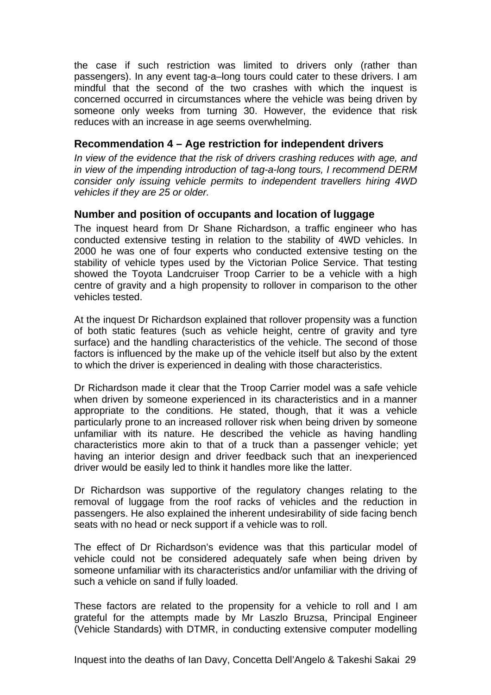<span id="page-32-0"></span>the case if such restriction was limited to drivers only (rather than passengers). In any event tag-a–long tours could cater to these drivers. I am mindful that the second of the two crashes with which the inquest is concerned occurred in circumstances where the vehicle was being driven by someone only weeks from turning 30. However, the evidence that risk reduces with an increase in age seems overwhelming.

### **Recommendation 4 – Age restriction for independent drivers**

*In view of the evidence that the risk of drivers crashing reduces with age, and in view of the impending introduction of tag-a-long tours, I recommend DERM consider only issuing vehicle permits to independent travellers hiring 4WD vehicles if they are 25 or older.* 

### **Number and position of occupants and location of luggage**

The inquest heard from Dr Shane Richardson, a traffic engineer who has conducted extensive testing in relation to the stability of 4WD vehicles. In 2000 he was one of four experts who conducted extensive testing on the stability of vehicle types used by the Victorian Police Service. That testing showed the Toyota Landcruiser Troop Carrier to be a vehicle with a high centre of gravity and a high propensity to rollover in comparison to the other vehicles tested.

At the inquest Dr Richardson explained that rollover propensity was a function of both static features (such as vehicle height, centre of gravity and tyre surface) and the handling characteristics of the vehicle. The second of those factors is influenced by the make up of the vehicle itself but also by the extent to which the driver is experienced in dealing with those characteristics.

Dr Richardson made it clear that the Troop Carrier model was a safe vehicle when driven by someone experienced in its characteristics and in a manner appropriate to the conditions. He stated, though, that it was a vehicle particularly prone to an increased rollover risk when being driven by someone unfamiliar with its nature. He described the vehicle as having handling characteristics more akin to that of a truck than a passenger vehicle; yet having an interior design and driver feedback such that an inexperienced driver would be easily led to think it handles more like the latter.

Dr Richardson was supportive of the regulatory changes relating to the removal of luggage from the roof racks of vehicles and the reduction in passengers. He also explained the inherent undesirability of side facing bench seats with no head or neck support if a vehicle was to roll.

The effect of Dr Richardson's evidence was that this particular model of vehicle could not be considered adequately safe when being driven by someone unfamiliar with its characteristics and/or unfamiliar with the driving of such a vehicle on sand if fully loaded.

These factors are related to the propensity for a vehicle to roll and I am grateful for the attempts made by Mr Laszlo Bruzsa, Principal Engineer (Vehicle Standards) with DTMR, in conducting extensive computer modelling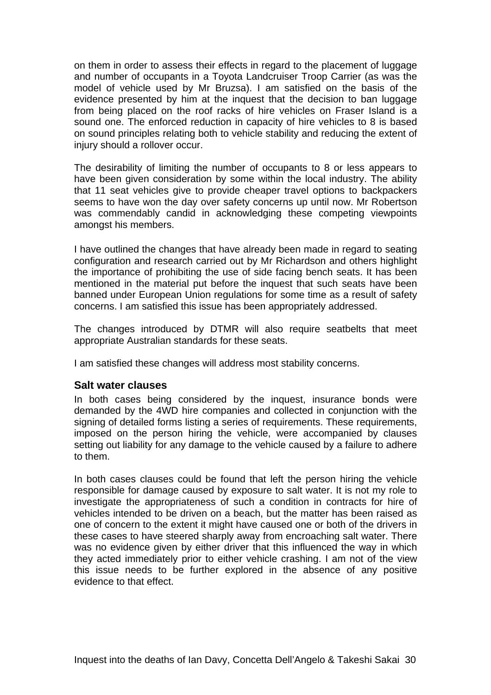<span id="page-33-0"></span>on them in order to assess their effects in regard to the placement of luggage and number of occupants in a Toyota Landcruiser Troop Carrier (as was the model of vehicle used by Mr Bruzsa). I am satisfied on the basis of the evidence presented by him at the inquest that the decision to ban luggage from being placed on the roof racks of hire vehicles on Fraser Island is a sound one. The enforced reduction in capacity of hire vehicles to 8 is based on sound principles relating both to vehicle stability and reducing the extent of injury should a rollover occur.

The desirability of limiting the number of occupants to 8 or less appears to have been given consideration by some within the local industry. The ability that 11 seat vehicles give to provide cheaper travel options to backpackers seems to have won the day over safety concerns up until now. Mr Robertson was commendably candid in acknowledging these competing viewpoints amongst his members.

I have outlined the changes that have already been made in regard to seating configuration and research carried out by Mr Richardson and others highlight the importance of prohibiting the use of side facing bench seats. It has been mentioned in the material put before the inquest that such seats have been banned under European Union regulations for some time as a result of safety concerns. I am satisfied this issue has been appropriately addressed.

The changes introduced by DTMR will also require seatbelts that meet appropriate Australian standards for these seats.

I am satisfied these changes will address most stability concerns.

#### **Salt water clauses**

In both cases being considered by the inquest, insurance bonds were demanded by the 4WD hire companies and collected in conjunction with the signing of detailed forms listing a series of requirements. These requirements, imposed on the person hiring the vehicle, were accompanied by clauses setting out liability for any damage to the vehicle caused by a failure to adhere to them.

In both cases clauses could be found that left the person hiring the vehicle responsible for damage caused by exposure to salt water. It is not my role to investigate the appropriateness of such a condition in contracts for hire of vehicles intended to be driven on a beach, but the matter has been raised as one of concern to the extent it might have caused one or both of the drivers in these cases to have steered sharply away from encroaching salt water. There was no evidence given by either driver that this influenced the way in which they acted immediately prior to either vehicle crashing. I am not of the view this issue needs to be further explored in the absence of any positive evidence to that effect.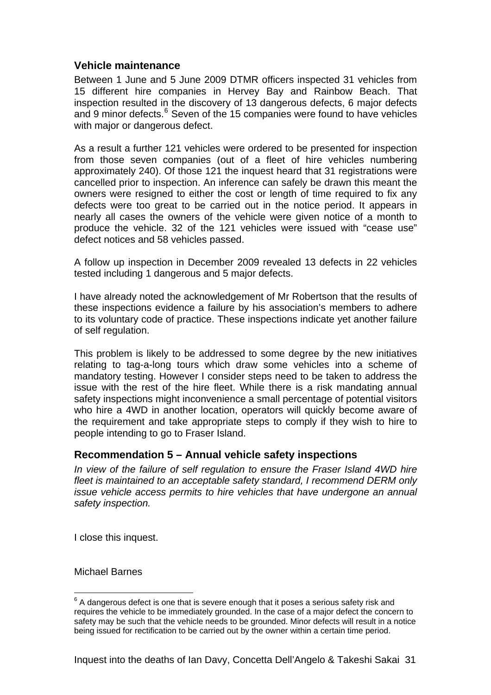### <span id="page-34-0"></span>**Vehicle maintenance**

Between 1 June and 5 June 2009 DTMR officers inspected 31 vehicles from 15 different hire companies in Hervey Bay and Rainbow Beach. That inspection resulted in the discovery of 13 dangerous defects, 6 major defects and 9 minor defects.<sup>[6](#page-34-1)</sup> Seven of the 15 companies were found to have vehicles with major or dangerous defect.

As a result a further 121 vehicles were ordered to be presented for inspection from those seven companies (out of a fleet of hire vehicles numbering approximately 240). Of those 121 the inquest heard that 31 registrations were cancelled prior to inspection. An inference can safely be drawn this meant the owners were resigned to either the cost or length of time required to fix any defects were too great to be carried out in the notice period. It appears in nearly all cases the owners of the vehicle were given notice of a month to produce the vehicle. 32 of the 121 vehicles were issued with "cease use" defect notices and 58 vehicles passed.

A follow up inspection in December 2009 revealed 13 defects in 22 vehicles tested including 1 dangerous and 5 major defects.

I have already noted the acknowledgement of Mr Robertson that the results of these inspections evidence a failure by his association's members to adhere to its voluntary code of practice. These inspections indicate yet another failure of self regulation.

This problem is likely to be addressed to some degree by the new initiatives relating to tag-a-long tours which draw some vehicles into a scheme of mandatory testing. However I consider steps need to be taken to address the issue with the rest of the hire fleet. While there is a risk mandating annual safety inspections might inconvenience a small percentage of potential visitors who hire a 4WD in another location, operators will quickly become aware of the requirement and take appropriate steps to comply if they wish to hire to people intending to go to Fraser Island.

### **Recommendation 5 – Annual vehicle safety inspections**

*In view of the failure of self regulation to ensure the Fraser Island 4WD hire fleet is maintained to an acceptable safety standard, I recommend DERM only issue vehicle access permits to hire vehicles that have undergone an annual safety inspection.* 

I close this inquest.

Michael Barnes

<span id="page-34-1"></span>entilative manniton and the manniton manniton and the manniton manniton of a dangerous defect is one that is severe enough that it poses a serious safety risk and  $\frac{1}{2}$ requires the vehicle to be immediately grounded. In the case of a major defect the concern to safety may be such that the vehicle needs to be grounded. Minor defects will result in a notice being issued for rectification to be carried out by the owner within a certain time period.